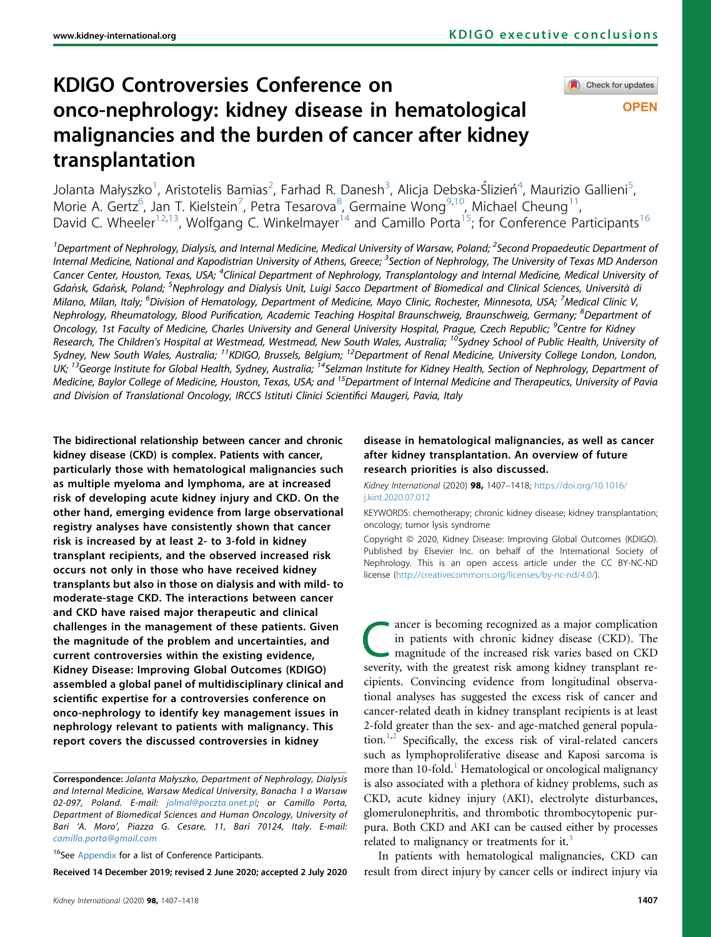# KDIGO Controversies Conference on onco-nephrology: kidney disease in hematological malignancies and the burden of cancer after kidney transplantation

Check for updates

**OPEN** 

Jolanta Małyszko<sup>[1](#page-0-0)</sup>, Aristotelis Bamias<sup>[2](#page-0-0)</sup>, Farhad R. Danesh<sup>[3](#page-0-1)</sup>, Alicja Debska-Ślizień<sup>[4](#page-0-2)</sup>, Maurizio Gallieni<sup>[5](#page-0-3)</sup> , Morie A. Gertz<sup>6</sup>, Jan T. Kielstein<sup>[7](#page-0-4)</sup>, Petra Tesarova<sup>[8](#page-0-5)</sup>, Germaine Wong<sup>[9](#page-0-6)[,10](#page-0-7)</sup>, Michael Cheung<sup>11</sup>, David C. Wheeler<sup>[12](#page-0-8)[,13](#page-0-9)</sup>, Wolfgang C. Winkelmayer<sup>14</sup> and Camillo Porta<sup>15</sup>; for Conference Participants<sup>16</sup>

<span id="page-0-7"></span><span id="page-0-6"></span><span id="page-0-5"></span><span id="page-0-4"></span><span id="page-0-3"></span><span id="page-0-2"></span><span id="page-0-1"></span><span id="page-0-0"></span><sup>1</sup>Department of Nephrology, Dialysis, and Internal Medicine, Medical University of Warsaw, Poland; <sup>2</sup>Second Propaedeutic Department of Internal Medicine, National and Kapodistrian University of Athens, Greece; <sup>3</sup>Section of Nephrology, The University of Texas MD Anderson Cancer Center, Houston, Texas, USA; <sup>4</sup>Clinical Department of Nephrology, Transplantology and Internal Medicine, Medical University of Gdańsk, Gdańsk, Poland; <sup>5</sup>Nephrology and Dialysis Unit, Luigi Sacco Department of Biomedical and Clinical Sciences, Università di Milano, Milan, Italy; <sup>6</sup>Division of Hematology, Department of Medicine, Mayo Clinic, Rochester, Minnesota, USA; <sup>7</sup>Medical Clinic V, Nephrology, Rheumatology, Blood Purification, Academic Teaching Hospital Braunschweig, Braunschweig, Germany; <sup>8</sup>Department of Oncology, 1st Faculty of Medicine, Charles University and General University Hospital, Prague, Czech Republic; <sup>9</sup>Centre for Kidney Research, The Children's Hospital at Westmead, Westmead, New South Wales, Australia; <sup>10</sup>Sydney School of Public Health, University of Sydney, New South Wales, Australia; <sup>11</sup>KDIGO, Brussels, Belgium; <sup>12</sup>Department of Renal Medicine, University College London, London, UK; <sup>13</sup>George Institute for Global Health, Sydney, Australia; <sup>14</sup>Selzman Institute for Kidney Health, Section of Nephrology, Department of Medicine, Baylor College of Medicine, Houston, Texas, USA; and <sup>15</sup>Department of Internal Medicine and Therapeutics, University of Pavia and Division of Translational Oncology, IRCCS Istituti Clinici Scientifici Maugeri, Pavia, Italy

<span id="page-0-10"></span><span id="page-0-9"></span><span id="page-0-8"></span>The bidirectional relationship between cancer and chronic kidney disease (CKD) is complex. Patients with cancer, particularly those with hematological malignancies such as multiple myeloma and lymphoma, are at increased risk of developing acute kidney injury and CKD. On the other hand, emerging evidence from large observational registry analyses have consistently shown that cancer risk is increased by at least 2- to 3-fold in kidney transplant recipients, and the observed increased risk occurs not only in those who have received kidney transplants but also in those on dialysis and with mild- to moderate-stage CKD. The interactions between cancer and CKD have raised major therapeutic and clinical challenges in the management of these patients. Given the magnitude of the problem and uncertainties, and current controversies within the existing evidence, Kidney Disease: Improving Global Outcomes (KDIGO) assembled a global panel of multidisciplinary clinical and scientific expertise for a controversies conference on onco-nephrology to identify key management issues in nephrology relevant to patients with malignancy. This report covers the discussed controversies in kidney

<span id="page-0-11"></span><sup>16</sup>See [Appendix](#page-9-3) for a list of Conference Participants.

Received 14 December 2019; revised 2 June 2020; accepted 2 July 2020

## disease in hematological malignancies, as well as cancer after kidney transplantation. An overview of future research priorities is also discussed.

Kidney International (2020) 98, 1407–1418; [https://doi.org/10.1016/](https://doi.org/10.1016/j.kint.2020.07.012) [j.kint.2020.07.012](https://doi.org/10.1016/j.kint.2020.07.012)

KEYWORDS: chemotherapy; chronic kidney disease; kidney transplantation; oncology; tumor lysis syndrome

Copyright © 2020, Kidney Disease: Improving Global Outcomes (KDIGO). Published by Elsevier Inc. on behalf of the International Society of Nephrology. This is an open access article under the CC BY-NC-ND license (<http://creativecommons.org/licenses/by-nc-nd/4.0/>).

magnitude of the increased risk varies based on CKD<br>
magnitude of the increased risk varies based on CKD<br>
coverity with the greatest risk among kidney transplant rein patients with chronic kidney disease (CKD). The severity, with the greatest risk among kidney transplant recipients. Convincing evidence from longitudinal observational analyses has suggested the excess risk of cancer and cancer-related death in kidney transplant recipients is at least 2-fold greater than the sex- and age-matched general popula-tion.<sup>[1](#page-9-0),[2](#page-9-1)</sup> Specifically, the excess risk of viral-related cancers such as lymphoproliferative disease and Kaposi sarcoma is more than [1](#page-9-0)0-fold.<sup>1</sup> Hematological or oncological malignancy is also associated with a plethora of kidney problems, such as CKD, acute kidney injury (AKI), electrolyte disturbances, glomerulonephritis, and thrombotic thrombocytopenic purpura. Both CKD and AKI can be caused either by processes related to malignancy or treatments for it.<sup>[3](#page-9-2)</sup>

In patients with hematological malignancies, CKD can result from direct injury by cancer cells or indirect injury via

Correspondence: Jolanta Małyszko, Department of Nephrology, Dialysis and Internal Medicine, Warsaw Medical University, Banacha 1 a Warsaw 02-097, Poland. E-mail: [jolmal@poczta.onet.pl;](mailto:jolmal@poczta.onet.pl) or Camillo Porta, Department of Biomedical Sciences and Human Oncology, University of Bari 'A. Moro', Piazza G. Cesare, 11, Bari 70124, Italy. E-mail: [camillo.porta@gmail.com](mailto:camillo.porta@gmail.com)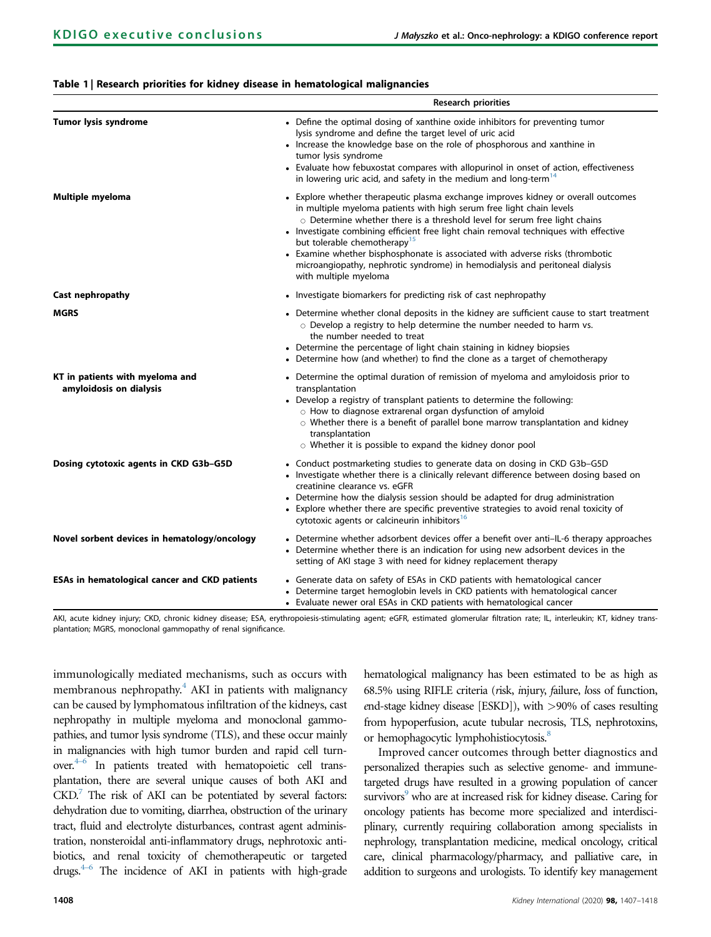#### <span id="page-1-0"></span>Table 1 | Research priorities for kidney disease in hematological malignancies

|                                                            | <b>Research priorities</b>                                                                                                                                                                                                                                                                                                                                                                                                                                                                                                                                            |
|------------------------------------------------------------|-----------------------------------------------------------------------------------------------------------------------------------------------------------------------------------------------------------------------------------------------------------------------------------------------------------------------------------------------------------------------------------------------------------------------------------------------------------------------------------------------------------------------------------------------------------------------|
| <b>Tumor lysis syndrome</b>                                | • Define the optimal dosing of xanthine oxide inhibitors for preventing tumor<br>lysis syndrome and define the target level of uric acid<br>• Increase the knowledge base on the role of phosphorous and xanthine in<br>tumor lysis syndrome<br>• Evaluate how febuxostat compares with allopurinol in onset of action, effectiveness<br>in lowering uric acid, and safety in the medium and long-term <sup>14</sup>                                                                                                                                                  |
| <b>Multiple myeloma</b>                                    | • Explore whether therapeutic plasma exchange improves kidney or overall outcomes<br>in multiple myeloma patients with high serum free light chain levels<br>o Determine whether there is a threshold level for serum free light chains<br>• Investigate combining efficient free light chain removal techniques with effective<br>but tolerable chemotherapy <sup>15</sup><br>• Examine whether bisphosphonate is associated with adverse risks (thrombotic<br>microangiopathy, nephrotic syndrome) in hemodialysis and peritoneal dialysis<br>with multiple myeloma |
| Cast nephropathy                                           | • Investigate biomarkers for predicting risk of cast nephropathy                                                                                                                                                                                                                                                                                                                                                                                                                                                                                                      |
| <b>MGRS</b>                                                | • Determine whether clonal deposits in the kidney are sufficient cause to start treatment<br>$\circ$ Develop a registry to help determine the number needed to harm vs.<br>the number needed to treat<br>• Determine the percentage of light chain staining in kidney biopsies<br>• Determine how (and whether) to find the clone as a target of chemotherapy                                                                                                                                                                                                         |
| KT in patients with myeloma and<br>amyloidosis on dialysis | • Determine the optimal duration of remission of myeloma and amyloidosis prior to<br>transplantation<br>• Develop a registry of transplant patients to determine the following:<br>$\circ$ How to diagnose extrarenal organ dysfunction of amyloid<br>$\circ$ Whether there is a benefit of parallel bone marrow transplantation and kidney<br>transplantation<br>$\circ$ Whether it is possible to expand the kidney donor pool                                                                                                                                      |
| Dosing cytotoxic agents in CKD G3b-G5D                     | • Conduct postmarketing studies to generate data on dosing in CKD G3b-G5D<br>• Investigate whether there is a clinically relevant difference between dosing based on<br>creatinine clearance vs. eGFR<br>• Determine how the dialysis session should be adapted for drug administration<br>• Explore whether there are specific preventive strategies to avoid renal toxicity of<br>cytotoxic agents or calcineurin inhibitors <sup>16</sup>                                                                                                                          |
| Novel sorbent devices in hematology/oncology               | • Determine whether adsorbent devices offer a benefit over anti-IL-6 therapy approaches<br>• Determine whether there is an indication for using new adsorbent devices in the<br>setting of AKI stage 3 with need for kidney replacement therapy                                                                                                                                                                                                                                                                                                                       |
| <b>ESAs in hematological cancer and CKD patients</b>       | • Generate data on safety of ESAs in CKD patients with hematological cancer<br>• Determine target hemoglobin levels in CKD patients with hematological cancer<br>• Evaluate newer oral ESAs in CKD patients with hematological cancer                                                                                                                                                                                                                                                                                                                                 |

AKI, acute kidney injury; CKD, chronic kidney disease; ESA, erythropoiesis-stimulating agent; eGFR, estimated glomerular filtration rate; IL, interleukin; KT, kidney transplantation; MGRS, monoclonal gammopathy of renal significance.

immunologically mediated mechanisms, such as occurs with membranous nephropathy.<sup>4</sup> AKI in patients with malignancy can be caused by lymphomatous infiltration of the kidneys, cast nephropathy in multiple myeloma and monoclonal gammopathies, and tumor lysis syndrome (TLS), and these occur mainly in malignancies with high tumor burden and rapid cell turnover[.4](#page-9-4)–<sup>6</sup> In patients treated with hematopoietic cell transplantation, there are several unique causes of both AKI and  $CKD$ .<sup>[7](#page-9-5)</sup> The risk of AKI can be potentiated by several factors: dehydration due to vomiting, diarrhea, obstruction of the urinary tract, fluid and electrolyte disturbances, contrast agent administration, nonsteroidal anti-inflammatory drugs, nephrotoxic antibiotics, and renal toxicity of chemotherapeutic or targeted drugs.<sup>4-6</sup> The incidence of AKI in patients with high-grade

hematological malignancy has been estimated to be as high as 68.5% using RIFLE criteria (risk, injury, failure, loss of function, end-stage kidney disease [ESKD]), with >90% of cases resulting from hypoperfusion, acute tubular necrosis, TLS, nephrotoxins, or hemophagocytic lymphohistiocytosis.<sup>8</sup>

Improved cancer outcomes through better diagnostics and personalized therapies such as selective genome- and immunetargeted drugs have resulted in a growing population of cancer survivors<sup>9</sup> who are at increased risk for kidney disease. Caring for oncology patients has become more specialized and interdisciplinary, currently requiring collaboration among specialists in nephrology, transplantation medicine, medical oncology, critical care, clinical pharmacology/pharmacy, and palliative care, in addition to surgeons and urologists. To identify key management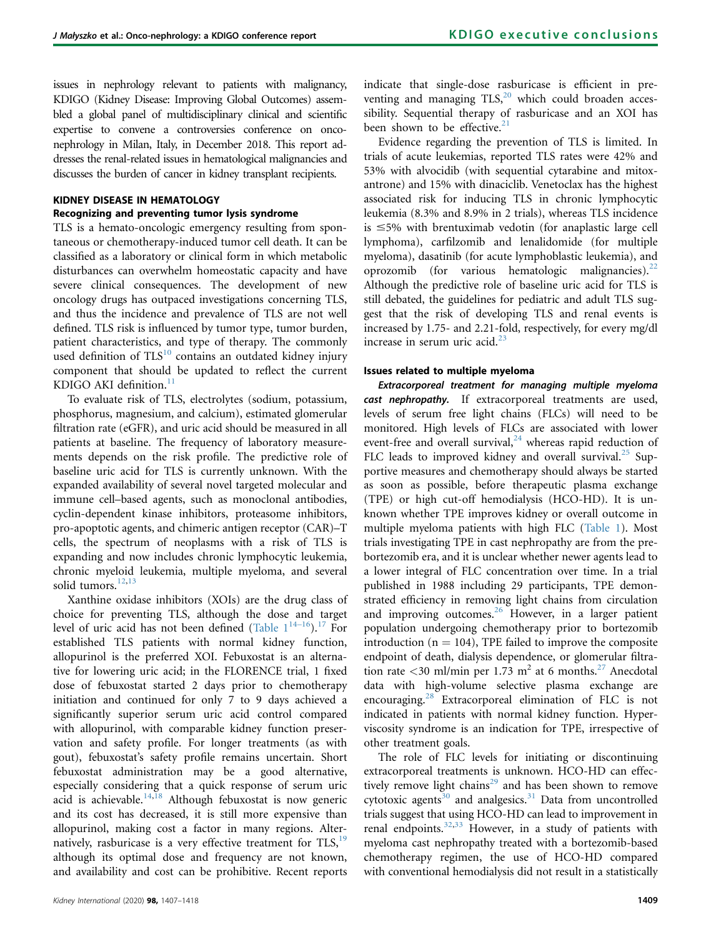issues in nephrology relevant to patients with malignancy, KDIGO (Kidney Disease: Improving Global Outcomes) assembled a global panel of multidisciplinary clinical and scientific expertise to convene a controversies conference on onconephrology in Milan, Italy, in December 2018. This report addresses the renal-related issues in hematological malignancies and discusses the burden of cancer in kidney transplant recipients.

# KIDNEY DISEASE IN HEMATOLOGY Recognizing and preventing tumor lysis syndrome

TLS is a hemato-oncologic emergency resulting from spontaneous or chemotherapy-induced tumor cell death. It can be classified as a laboratory or clinical form in which metabolic disturbances can overwhelm homeostatic capacity and have severe clinical consequences. The development of new oncology drugs has outpaced investigations concerning TLS, and thus the incidence and prevalence of TLS are not well defined. TLS risk is influenced by tumor type, tumor burden, patient characteristics, and type of therapy. The commonly used definition of  $TLS^{10}$  $TLS^{10}$  $TLS^{10}$  contains an outdated kidney injury component that should be updated to reflect the current KDIGO AKI definition.<sup>11</sup>

To evaluate risk of TLS, electrolytes (sodium, potassium, phosphorus, magnesium, and calcium), estimated glomerular filtration rate (eGFR), and uric acid should be measured in all patients at baseline. The frequency of laboratory measurements depends on the risk profile. The predictive role of baseline uric acid for TLS is currently unknown. With the expanded availability of several novel targeted molecular and immune cell–based agents, such as monoclonal antibodies, cyclin-dependent kinase inhibitors, proteasome inhibitors, pro-apoptotic agents, and chimeric antigen receptor (CAR)–T cells, the spectrum of neoplasms with a risk of TLS is expanding and now includes chronic lymphocytic leukemia, chronic myeloid leukemia, multiple myeloma, and several solid tumors. $12,13$  $12,13$ 

Xanthine oxidase inhibitors (XOIs) are the drug class of choice for preventing TLS, although the dose and target level of uric acid has not been defined (Table  $1^{14-16}$  $1^{14-16}$  $1^{14-16}$ ).<sup>17</sup> For established TLS patients with normal kidney function, allopurinol is the preferred XOI. Febuxostat is an alternative for lowering uric acid; in the FLORENCE trial, 1 fixed dose of febuxostat started 2 days prior to chemotherapy initiation and continued for only 7 to 9 days achieved a significantly superior serum uric acid control compared with allopurinol, with comparable kidney function preservation and safety profile. For longer treatments (as with gout), febuxostat's safety profile remains uncertain. Short febuxostat administration may be a good alternative, especially considering that a quick response of serum uric acid is achievable.[14,](#page-9-8)[18](#page-10-3) Although febuxostat is now generic and its cost has decreased, it is still more expensive than allopurinol, making cost a factor in many regions. Alternatively, rasburicase is a very effective treatment for  $TLS$ ,  $19$ although its optimal dose and frequency are not known, and availability and cost can be prohibitive. Recent reports indicate that single-dose rasburicase is efficient in preventing and managing  $TLS$ <sup>[20](#page-10-5)</sup> which could broaden accessibility. Sequential therapy of rasburicase and an XOI has been shown to be effective. $21$ 

Evidence regarding the prevention of TLS is limited. In trials of acute leukemias, reported TLS rates were 42% and 53% with alvocidib (with sequential cytarabine and mitoxantrone) and 15% with dinaciclib. Venetoclax has the highest associated risk for inducing TLS in chronic lymphocytic leukemia (8.3% and 8.9% in 2 trials), whereas TLS incidence is  $\leq$ 5% with brentuximab vedotin (for anaplastic large cell lymphoma), carfilzomib and lenalidomide (for multiple myeloma), dasatinib (for acute lymphoblastic leukemia), and oprozomib (for various hematologic malignancies).<sup>[22](#page-10-7)</sup> Although the predictive role of baseline uric acid for TLS is still debated, the guidelines for pediatric and adult TLS suggest that the risk of developing TLS and renal events is increased by 1.75- and 2.21-fold, respectively, for every mg/dl increase in serum uric acid.<sup>[23](#page-10-8)</sup>

#### Issues related to multiple myeloma

Extracorporeal treatment for managing multiple myeloma cast nephropathy. If extracorporeal treatments are used, levels of serum free light chains (FLCs) will need to be monitored. High levels of FLCs are associated with lower event-free and overall survival, $24$  whereas rapid reduction of FLC leads to improved kidney and overall survival.<sup>[25](#page-10-10)</sup> Supportive measures and chemotherapy should always be started as soon as possible, before therapeutic plasma exchange (TPE) or high cut-off hemodialysis (HCO-HD). It is unknown whether TPE improves kidney or overall outcome in multiple myeloma patients with high FLC [\(Table 1\)](#page-1-0). Most trials investigating TPE in cast nephropathy are from the prebortezomib era, and it is unclear whether newer agents lead to a lower integral of FLC concentration over time. In a trial published in 1988 including 29 participants, TPE demonstrated efficiency in removing light chains from circulation and improving outcomes. $^{26}$  $^{26}$  $^{26}$  However, in a larger patient population undergoing chemotherapy prior to bortezomib introduction ( $n = 104$ ), TPE failed to improve the composite endpoint of death, dialysis dependence, or glomerular filtration rate <30 ml/min per 1.73 m<sup>2</sup> at 6 months.<sup>27</sup> Anecdotal data with high-volume selective plasma exchange are encouraging.<sup>[28](#page-10-13)</sup> Extracorporeal elimination of FLC is not indicated in patients with normal kidney function. Hyperviscosity syndrome is an indication for TPE, irrespective of other treatment goals.

The role of FLC levels for initiating or discontinuing extracorporeal treatments is unknown. HCO-HD can effectively remove light chains<sup>29</sup> and has been shown to remove cytotoxic agents<sup>[30](#page-10-15)</sup> and analgesics.<sup>31</sup> Data from uncontrolled trials suggest that using HCO-HD can lead to improvement in renal endpoints. $32,33$  $32,33$  However, in a study of patients with myeloma cast nephropathy treated with a bortezomib-based chemotherapy regimen, the use of HCO-HD compared with conventional hemodialysis did not result in a statistically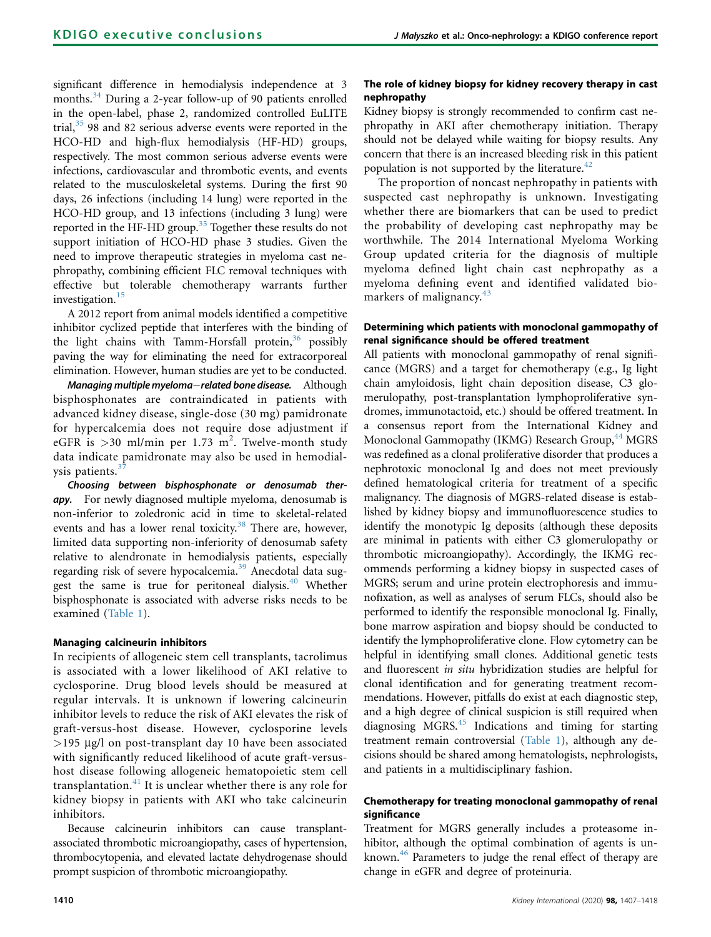significant difference in hemodialysis independence at 3 months.<sup>34</sup> During a 2-year follow-up of 90 patients enrolled in the open-label, phase 2, randomized controlled EuLITE trial, $35$  98 and 82 serious adverse events were reported in the HCO-HD and high-flux hemodialysis (HF-HD) groups, respectively. The most common serious adverse events were infections, cardiovascular and thrombotic events, and events related to the musculoskeletal systems. During the first 90 days, 26 infections (including 14 lung) were reported in the HCO-HD group, and 13 infections (including 3 lung) were reported in the HF-HD group.<sup>[35](#page-10-20)</sup> Together these results do not support initiation of HCO-HD phase 3 studies. Given the need to improve therapeutic strategies in myeloma cast nephropathy, combining efficient FLC removal techniques with effective but tolerable chemotherapy warrants further investigation.<sup>[15](#page-10-0)</sup>

A 2012 report from animal models identified a competitive inhibitor cyclized peptide that interferes with the binding of the light chains with Tamm-Horsfall protein,<sup>[36](#page-10-21)</sup> possibly paving the way for eliminating the need for extracorporeal elimination. However, human studies are yet to be conducted.

Managing multiple myeloma-related bone disease. Although bisphosphonates are contraindicated in patients with advanced kidney disease, single-dose (30 mg) pamidronate for hypercalcemia does not require dose adjustment if eGFR is  $>$ 30 ml/min per 1.73 m<sup>2</sup>. Twelve-month study data indicate pamidronate may also be used in hemodialysis patients.<sup>3</sup>

Choosing between bisphosphonate or denosumab therapy. For newly diagnosed multiple myeloma, denosumab is non-inferior to zoledronic acid in time to skeletal-related events and has a lower renal toxicity.<sup>[38](#page-10-23)</sup> There are, however, limited data supporting non-inferiority of denosumab safety relative to alendronate in hemodialysis patients, especially regarding risk of severe hypocalcemia.<sup>[39](#page-10-24)</sup> Anecdotal data sug-gest the same is true for peritoneal dialysis.<sup>[40](#page-10-25)</sup> Whether bisphosphonate is associated with adverse risks needs to be examined [\(Table 1](#page-1-0)).

# Managing calcineurin inhibitors

In recipients of allogeneic stem cell transplants, tacrolimus is associated with a lower likelihood of AKI relative to cyclosporine. Drug blood levels should be measured at regular intervals. It is unknown if lowering calcineurin inhibitor levels to reduce the risk of AKI elevates the risk of graft-versus-host disease. However, cyclosporine levels  $>$ 195 µg/l on post-transplant day 10 have been associated with significantly reduced likelihood of acute graft-versushost disease following allogeneic hematopoietic stem cell transplantation. $41$  It is unclear whether there is any role for kidney biopsy in patients with AKI who take calcineurin inhibitors.

Because calcineurin inhibitors can cause transplantassociated thrombotic microangiopathy, cases of hypertension, thrombocytopenia, and elevated lactate dehydrogenase should prompt suspicion of thrombotic microangiopathy.

# The role of kidney biopsy for kidney recovery therapy in cast nephropathy

Kidney biopsy is strongly recommended to confirm cast nephropathy in AKI after chemotherapy initiation. Therapy should not be delayed while waiting for biopsy results. Any concern that there is an increased bleeding risk in this patient population is not supported by the literature.<sup>[42](#page-10-27)</sup>

The proportion of noncast nephropathy in patients with suspected cast nephropathy is unknown. Investigating whether there are biomarkers that can be used to predict the probability of developing cast nephropathy may be worthwhile. The 2014 International Myeloma Working Group updated criteria for the diagnosis of multiple myeloma defined light chain cast nephropathy as a myeloma defining event and identified validated biomarkers of malignancy. $43$ 

# Determining which patients with monoclonal gammopathy of renal significance should be offered treatment

All patients with monoclonal gammopathy of renal significance (MGRS) and a target for chemotherapy (e.g., Ig light chain amyloidosis, light chain deposition disease, C3 glomerulopathy, post-transplantation lymphoproliferative syndromes, immunotactoid, etc.) should be offered treatment. In a consensus report from the International Kidney and Monoclonal Gammopathy (IKMG) Research Group, <sup>[44](#page-10-29)</sup> MGRS was redefined as a clonal proliferative disorder that produces a nephrotoxic monoclonal Ig and does not meet previously defined hematological criteria for treatment of a specific malignancy. The diagnosis of MGRS-related disease is established by kidney biopsy and immunofluorescence studies to identify the monotypic Ig deposits (although these deposits are minimal in patients with either C3 glomerulopathy or thrombotic microangiopathy). Accordingly, the IKMG recommends performing a kidney biopsy in suspected cases of MGRS; serum and urine protein electrophoresis and immunofixation, as well as analyses of serum FLCs, should also be performed to identify the responsible monoclonal Ig. Finally, bone marrow aspiration and biopsy should be conducted to identify the lymphoproliferative clone. Flow cytometry can be helpful in identifying small clones. Additional genetic tests and fluorescent in situ hybridization studies are helpful for clonal identification and for generating treatment recommendations. However, pitfalls do exist at each diagnostic step, and a high degree of clinical suspicion is still required when diagnosing MGRS.<sup>[45](#page-10-30)</sup> Indications and timing for starting treatment remain controversial [\(Table 1\)](#page-1-0), although any decisions should be shared among hematologists, nephrologists, and patients in a multidisciplinary fashion.

# Chemotherapy for treating monoclonal gammopathy of renal significance

Treatment for MGRS generally includes a proteasome inhibitor, although the optimal combination of agents is un-known.<sup>[46](#page-10-31)</sup> Parameters to judge the renal effect of therapy are change in eGFR and degree of proteinuria.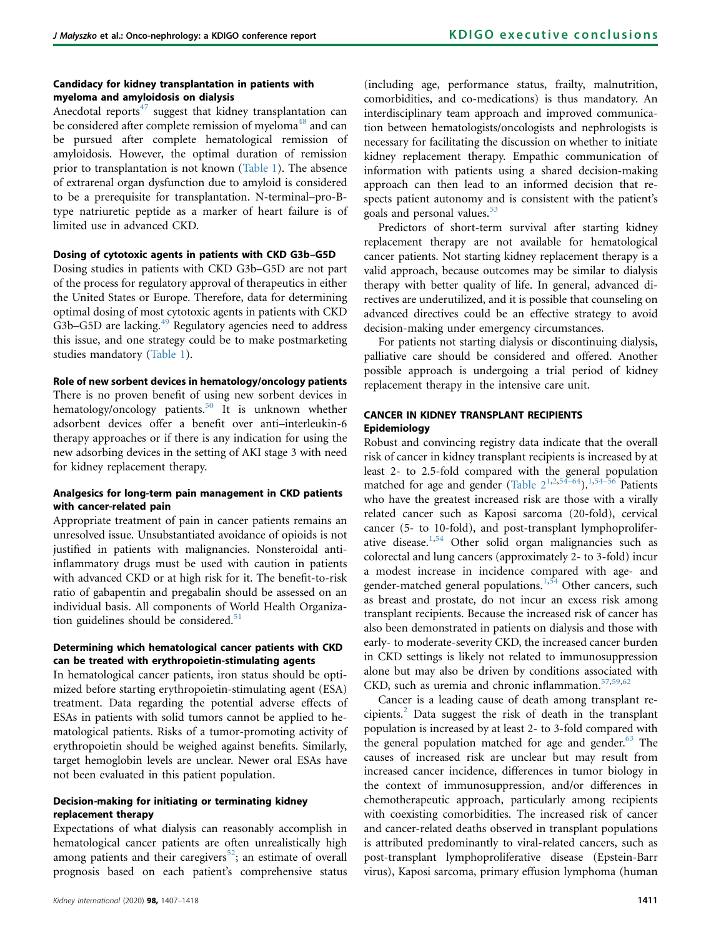## Candidacy for kidney transplantation in patients with myeloma and amyloidosis on dialysis

Anecdotal reports $47$  suggest that kidney transplantation can be considered after complete remission of myeloma<sup>[48](#page-10-33)</sup> and can be pursued after complete hematological remission of amyloidosis. However, the optimal duration of remission prior to transplantation is not known ([Table 1\)](#page-1-0). The absence of extrarenal organ dysfunction due to amyloid is considered to be a prerequisite for transplantation. N-terminal–pro-Btype natriuretic peptide as a marker of heart failure is of limited use in advanced CKD.

#### Dosing of cytotoxic agents in patients with CKD G3b–G5D

Dosing studies in patients with CKD G3b–G5D are not part of the process for regulatory approval of therapeutics in either the United States or Europe. Therefore, data for determining optimal dosing of most cytotoxic agents in patients with CKD G3b–G5D are lacking.<sup>49</sup> Regulatory agencies need to address this issue, and one strategy could be to make postmarketing studies mandatory ([Table 1](#page-1-0)).

#### Role of new sorbent devices in hematology/oncology patients

There is no proven benefit of using new sorbent devices in hematology/oncology patients.<sup>[50](#page-10-35)</sup> It is unknown whether adsorbent devices offer a benefit over anti–interleukin-6 therapy approaches or if there is any indication for using the new adsorbing devices in the setting of AKI stage 3 with need for kidney replacement therapy.

## Analgesics for long-term pain management in CKD patients with cancer-related pain

Appropriate treatment of pain in cancer patients remains an unresolved issue. Unsubstantiated avoidance of opioids is not justified in patients with malignancies. Nonsteroidal antiinflammatory drugs must be used with caution in patients with advanced CKD or at high risk for it. The benefit-to-risk ratio of gabapentin and pregabalin should be assessed on an individual basis. All components of World Health Organization guidelines should be considered. $51$ 

## Determining which hematological cancer patients with CKD can be treated with erythropoietin-stimulating agents

In hematological cancer patients, iron status should be optimized before starting erythropoietin-stimulating agent (ESA) treatment. Data regarding the potential adverse effects of ESAs in patients with solid tumors cannot be applied to hematological patients. Risks of a tumor-promoting activity of erythropoietin should be weighed against benefits. Similarly, target hemoglobin levels are unclear. Newer oral ESAs have not been evaluated in this patient population.

## Decision-making for initiating or terminating kidney replacement therapy

Expectations of what dialysis can reasonably accomplish in hematological cancer patients are often unrealistically high among patients and their caregivers<sup>52</sup>; an estimate of overall prognosis based on each patient's comprehensive status

(including age, performance status, frailty, malnutrition, comorbidities, and co-medications) is thus mandatory. An interdisciplinary team approach and improved communication between hematologists/oncologists and nephrologists is necessary for facilitating the discussion on whether to initiate kidney replacement therapy. Empathic communication of information with patients using a shared decision-making approach can then lead to an informed decision that respects patient autonomy and is consistent with the patient's goals and personal values.<sup>[53](#page-10-38)</sup>

Predictors of short-term survival after starting kidney replacement therapy are not available for hematological cancer patients. Not starting kidney replacement therapy is a valid approach, because outcomes may be similar to dialysis therapy with better quality of life. In general, advanced directives are underutilized, and it is possible that counseling on advanced directives could be an effective strategy to avoid decision-making under emergency circumstances.

For patients not starting dialysis or discontinuing dialysis, palliative care should be considered and offered. Another possible approach is undergoing a trial period of kidney replacement therapy in the intensive care unit.

# CANCER IN KIDNEY TRANSPLANT RECIPIENTS Epidemiology

Robust and convincing registry data indicate that the overall risk of cancer in kidney transplant recipients is increased by at least 2- to 2.5-fold compared with the general population matched for age and gender (Table  $2^{1,2,54-64}$  $2^{1,2,54-64}$  $2^{1,2,54-64}$  $2^{1,2,54-64}$  $2^{1,2,54-64}$ ).<sup>1,[54](#page-10-39)–56</sup> Patients who have the greatest increased risk are those with a virally related cancer such as Kaposi sarcoma (20-fold), cervical cancer (5- to 10-fold), and post-transplant lymphoproliferative disease.[1,](#page-9-0)[54](#page-10-39) Other solid organ malignancies such as colorectal and lung cancers (approximately 2- to 3-fold) incur a modest increase in incidence compared with age- and gender-matched general populations.<sup>[1](#page-9-0)[,54](#page-10-39)</sup> Other cancers, such as breast and prostate, do not incur an excess risk among transplant recipients. Because the increased risk of cancer has also been demonstrated in patients on dialysis and those with early- to moderate-severity CKD, the increased cancer burden in CKD settings is likely not related to immunosuppression alone but may also be driven by conditions associated with CKD, such as uremia and chronic inflammation.<sup>[57](#page-10-40)[,59](#page-10-41)[,62](#page-11-0)</sup>

Cancer is a leading cause of death among transplant recipients.[2](#page-9-1) Data suggest the risk of death in the transplant population is increased by at least 2- to 3-fold compared with the general population matched for age and gender.<sup>[63](#page-11-1)</sup> The causes of increased risk are unclear but may result from increased cancer incidence, differences in tumor biology in the context of immunosuppression, and/or differences in chemotherapeutic approach, particularly among recipients with coexisting comorbidities. The increased risk of cancer and cancer-related deaths observed in transplant populations is attributed predominantly to viral-related cancers, such as post-transplant lymphoproliferative disease (Epstein-Barr virus), Kaposi sarcoma, primary effusion lymphoma (human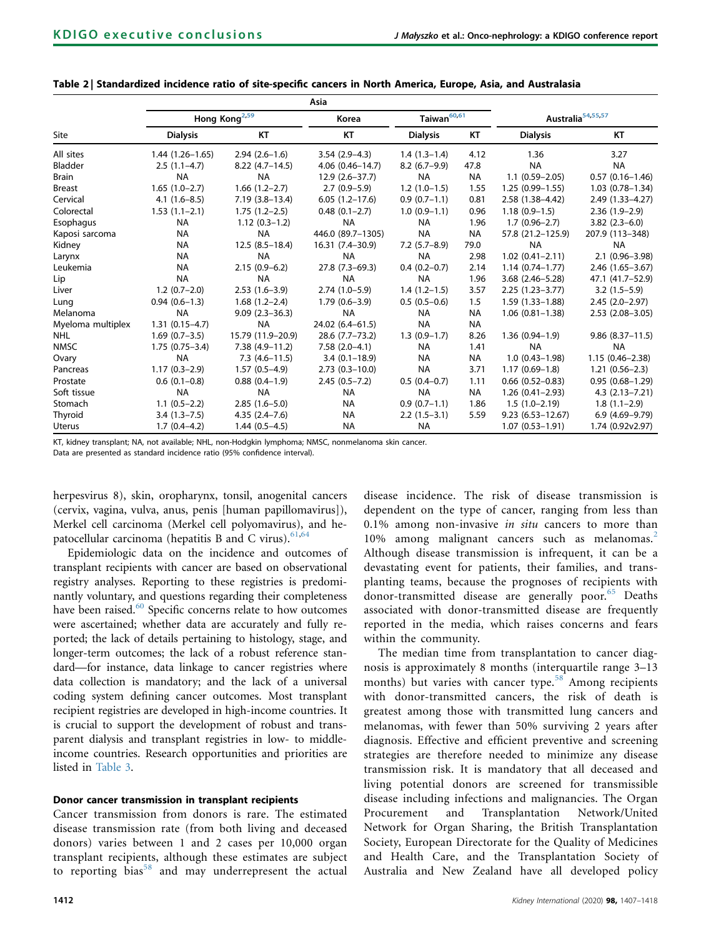|                   | Hong Kong <sup>2,59</sup> |                    | Korea              | Taiwan <sup>60,61</sup> |           | Australia <sup>54,55,57</sup> |                        |
|-------------------|---------------------------|--------------------|--------------------|-------------------------|-----------|-------------------------------|------------------------|
| <b>Site</b>       | <b>Dialysis</b>           | KT                 | KT                 | <b>Dialysis</b>         | KT        | <b>Dialysis</b>               | KT                     |
| All sites         | $1.44(1.26 - 1.65)$       | $2.94(2.6-1.6)$    | $3.54(2.9-4.3)$    | $1.4(1.3-1.4)$          | 4.12      | 1.36                          | 3.27                   |
| Bladder           | $2.5(1.1-4.7)$            | $8.22(4.7-14.5)$   | 4.06 (0.46-14.7)   | $8.2(6.7-9.9)$          | 47.8      | <b>NA</b>                     | <b>NA</b>              |
| Brain             | <b>NA</b>                 | <b>NA</b>          | $12.9(2.6 - 37.7)$ | <b>NA</b>               | <b>NA</b> | $1.1(0.59 - 2.05)$            | $0.57$ $(0.16 - 1.46)$ |
| <b>Breast</b>     | $1.65(1.0-2.7)$           | $1.66(1.2-2.7)$    | $2.7(0.9-5.9)$     | $1.2(1.0-1.5)$          | 1.55      | $1.25(0.99 - 1.55)$           | $1.03(0.78 - 1.34)$    |
| Cervical          | $4.1(1.6-8.5)$            | $7.19(3.8-13.4)$   | $6.05(1.2-17.6)$   | $0.9(0.7-1.1)$          | 0.81      | $2.58(1.38 - 4.42)$           | 2.49 (1.33-4.27)       |
| Colorectal        | $1.53(1.1-2.1)$           | $1.75(1.2-2.5)$    | $0.48(0.1 - 2.7)$  | $1.0(0.9-1.1)$          | 0.96      | $1.18(0.9-1.5)$               | $2.36(1.9-2.9)$        |
| Esophagus         | <b>NA</b>                 | $1.12(0.3-1.2)$    | <b>NA</b>          | <b>NA</b>               | 1.96      | $1.7(0.96 - 2.7)$             | $3.82(2.3-6.0)$        |
| Kaposi sarcoma    | <b>NA</b>                 | <b>NA</b>          | 446.0 (89.7-1305)  | <b>NA</b>               | <b>NA</b> | 57.8 (21.2-125.9)             | 207.9 (113-348)        |
| Kidney            | <b>NA</b>                 | $12.5(8.5-18.4)$   | 16.31 (7.4-30.9)   | $7.2$ (5.7-8.9)         | 79.0      | <b>NA</b>                     | <b>NA</b>              |
| Larynx            | NA                        | <b>NA</b>          | <b>NA</b>          | <b>NA</b>               | 2.98      | $1.02(0.41 - 2.11)$           | $2.1(0.96 - 3.98)$     |
| Leukemia          | <b>NA</b>                 | $2.15(0.9-6.2)$    | 27.8 (7.3-69.3)    | $0.4(0.2-0.7)$          | 2.14      | $1.14(0.74 - 1.77)$           | $2.46(1.65 - 3.67)$    |
| Lip               | <b>NA</b>                 | <b>NA</b>          | <b>NA</b>          | <b>NA</b>               | 1.96      | 3.68 (2.46-5.28)              | 47.1 (41.7–52.9)       |
| Liver             | $1.2(0.7-2.0)$            | $2.53(1.6-3.9)$    | $2.74(1.0-5.9)$    | $1.4(1.2-1.5)$          | 3.57      | $2.25(1.23 - 3.77)$           | $3.2(1.5-5.9)$         |
| Lung              | $0.94(0.6-1.3)$           | $1.68(1.2 - 2.4)$  | $1.79(0.6 - 3.9)$  | $0.5(0.5-0.6)$          | 1.5       | $1.59(1.33 - 1.88)$           | $2.45(2.0-2.97)$       |
| Melanoma          | <b>NA</b>                 | $9.09(2.3 - 36.3)$ | <b>NA</b>          | <b>NA</b>               | <b>NA</b> | $1.06(0.81 - 1.38)$           | $2.53$ $(2.08 - 3.05)$ |
| Myeloma multiplex | $1.31(0.15 - 4.7)$        | <b>NA</b>          | 24.02 (6.4-61.5)   | <b>NA</b>               | <b>NA</b> |                               |                        |
| <b>NHL</b>        | $1.69(0.7-3.5)$           | 15.79 (11.9-20.9)  | 28.6 (7.7-73.2)    | $1.3(0.9-1.7)$          | 8.26      | $1.36(0.94 - 1.9)$            | $9.86(8.37-11.5)$      |
| <b>NMSC</b>       | $1.75(0.75 - 3.4)$        | $7.38(4.9-11.2)$   | $7.58(2.0-4.1)$    | <b>NA</b>               | 1.41      | <b>NA</b>                     | <b>NA</b>              |
| Ovary             | <b>NA</b>                 | $7.3(4.6 - 11.5)$  | $3.4(0.1 - 18.9)$  | <b>NA</b>               | <b>NA</b> | $1.0(0.43 - 1.98)$            | $1.15(0.46 - 2.38)$    |
| Pancreas          | $1.17(0.3-2.9)$           | $1.57(0.5-4.9)$    | $2.73(0.3 - 10.0)$ | <b>NA</b>               | 3.71      | $1.17(0.69-1.8)$              | $1.21(0.56-2.3)$       |
| Prostate          | $0.6(0.1-0.8)$            | $0.88(0.4-1.9)$    | $2.45(0.5 - 7.2)$  | $0.5(0.4-0.7)$          | 1.11      | $0.66$ $(0.52 - 0.83)$        | $0.95(0.68 - 1.29)$    |
| Soft tissue       | <b>NA</b>                 | <b>NA</b>          | <b>NA</b>          | <b>NA</b>               | <b>NA</b> | $1.26(0.41 - 2.93)$           | $4.3(2.13 - 7.21)$     |
| Stomach           | $1.1(0.5-2.2)$            | $2.85(1.6-5.0)$    | <b>NA</b>          | $0.9(0.7-1.1)$          | 1.86      | $1.5(1.0-2.19)$               | $1.8(1.1-2.9)$         |
| Thyroid           | $3.4(1.3 - 7.5)$          | $4.35(2.4 - 7.6)$  | <b>NA</b>          | $2.2(1.5-3.1)$          | 5.59      | $9.23(6.53 - 12.67)$          | $6.9(4.69-9.79)$       |
| Uterus            | $1.7(0.4-4.2)$            | $1.44(0.5-4.5)$    | <b>NA</b>          | <b>NA</b>               |           | $1.07(0.53 - 1.91)$           | 1.74 (0.92v2.97)       |

# <span id="page-5-0"></span>Table 2 | Standardized incidence ratio of site-specific cancers in North America, Europe, Asia, and Australasia

KT, kidney transplant; NA, not available; NHL, non-Hodgkin lymphoma; NMSC, nonmelanoma skin cancer.

Data are presented as standard incidence ratio (95% confidence interval).

herpesvirus 8), skin, oropharynx, tonsil, anogenital cancers (cervix, vagina, vulva, anus, penis [human papillomavirus]), Merkel cell carcinoma (Merkel cell polyomavirus), and hepatocellular carcinoma (hepatitis B and C virus). $61,64$  $61,64$ 

Epidemiologic data on the incidence and outcomes of transplant recipients with cancer are based on observational registry analyses. Reporting to these registries is predominantly voluntary, and questions regarding their completeness have been raised.<sup>[60](#page-10-42)</sup> Specific concerns relate to how outcomes were ascertained; whether data are accurately and fully reported; the lack of details pertaining to histology, stage, and longer-term outcomes; the lack of a robust reference standard—for instance, data linkage to cancer registries where data collection is mandatory; and the lack of a universal coding system defining cancer outcomes. Most transplant recipient registries are developed in high-income countries. It is crucial to support the development of robust and transparent dialysis and transplant registries in low- to middleincome countries. Research opportunities and priorities are listed in [Table 3](#page-7-0).

## Donor cancer transmission in transplant recipients

Cancer transmission from donors is rare. The estimated disease transmission rate (from both living and deceased donors) varies between 1 and 2 cases per 10,000 organ transplant recipients, although these estimates are subject to reporting bias $58$  and may underrepresent the actual disease incidence. The risk of disease transmission is dependent on the type of cancer, ranging from less than 0.1% among non-invasive in situ cancers to more than 10% among malignant cancers such as melanomas.<sup>[2](#page-9-1)</sup> Although disease transmission is infrequent, it can be a devastating event for patients, their families, and transplanting teams, because the prognoses of recipients with donor-transmitted disease are generally poor.<sup>[65](#page-11-4)</sup> Deaths associated with donor-transmitted disease are frequently reported in the media, which raises concerns and fears within the community.

The median time from transplantation to cancer diagnosis is approximately 8 months (interquartile range 3–13 months) but varies with cancer type.<sup>[58](#page-10-43)</sup> Among recipients with donor-transmitted cancers, the risk of death is greatest among those with transmitted lung cancers and melanomas, with fewer than 50% surviving 2 years after diagnosis. Effective and efficient preventive and screening strategies are therefore needed to minimize any disease transmission risk. It is mandatory that all deceased and living potential donors are screened for transmissible disease including infections and malignancies. The Organ Procurement and Transplantation Network/United Network for Organ Sharing, the British Transplantation Society, European Directorate for the Quality of Medicines and Health Care, and the Transplantation Society of Australia and New Zealand have all developed policy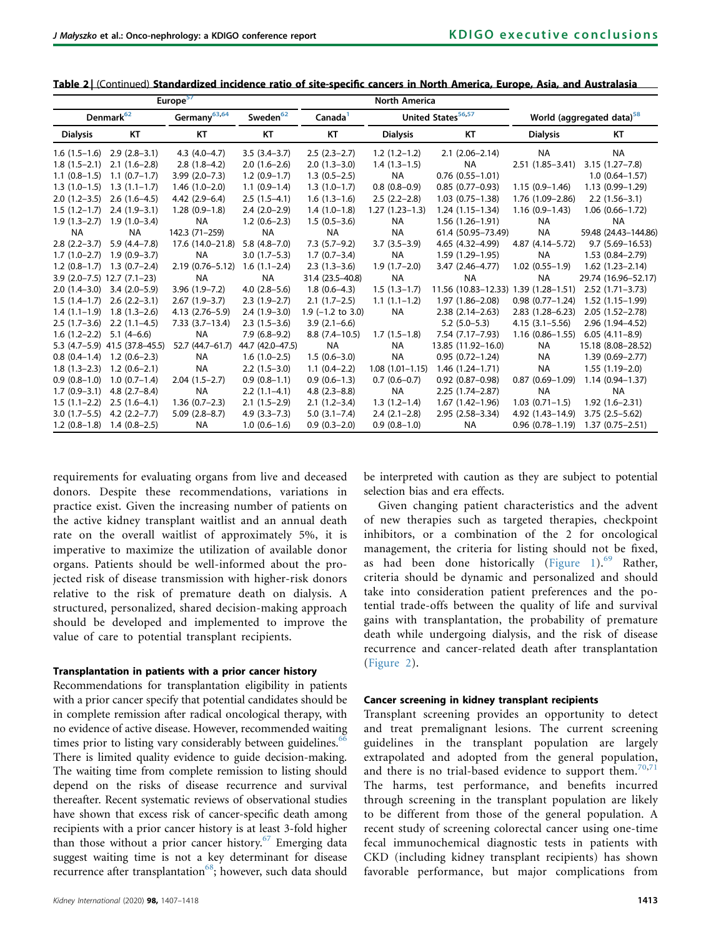|                  | Denmark <sup>62</sup>          | Germany <sup>63,64</sup> | Sweden <sup>62</sup> | Canada <sup>1</sup> |                   | United States <sup>56,57</sup>       |                     | World (aggregated data) <sup>58</sup> |
|------------------|--------------------------------|--------------------------|----------------------|---------------------|-------------------|--------------------------------------|---------------------|---------------------------------------|
| <b>Dialysis</b>  | KT                             | KT                       | KT                   | КT                  | <b>Dialysis</b>   | КT                                   | <b>Dialysis</b>     | KT                                    |
| $1.6(1.5-1.6)$   | $2.9(2.8-3.1)$                 | $4.3(4.0-4.7)$           | $3.5(3.4-3.7)$       | $2.5(2.3-2.7)$      | $1.2(1.2-1.2)$    | $2.1(2.06-2.14)$                     | <b>NA</b>           | <b>NA</b>                             |
| $1.8(1.5-2.1)$   | $2.1(1.6-2.8)$                 | $2.8(1.8-4.2)$           | $2.0(1.6-2.6)$       | $2.0(1.3-3.0)$      | $1.4(1.3-1.5)$    | <b>NA</b>                            | $2.51(1.85 - 3.41)$ | $3.15(1.27 - 7.8)$                    |
| $1.1(0.8-1.5)$   | $1.1(0.7-1.7)$                 | $3.99(2.0 - 7.3)$        | $1.2(0.9-1.7)$       | $1.3(0.5-2.5)$      | <b>NA</b>         | $0.76$ $(0.55 - 1.01)$               |                     | $1.0(0.64 - 1.57)$                    |
| $1.3(1.0-1.5)$   | $1.3(1.1-1.7)$                 | $1.46(1.0-2.0)$          | $1.1(0.9-1.4)$       | $1.3(1.0-1.7)$      | $0.8(0.8-0.9)$    | $0.85(0.77-0.93)$                    | $1.15(0.9 - 1.46)$  | 1.13 (0.99-1.29)                      |
| $2.0(1.2-3.5)$   | $2.6(1.6-4.5)$                 | $4.42(2.9-6.4)$          | $2.5(1.5-4.1)$       | $1.6(1.3-1.6)$      | $2.5(2.2-2.8)$    | $1.03(0.75 - 1.38)$                  | 1.76 (1.09-2.86)    | $2.2(1.56-3.1)$                       |
| $1.5(1.2-1.7)$   | $2.4(1.9-3.1)$                 | $1.28(0.9-1.8)$          | $2.4(2.0-2.9)$       | $1.4(1.0-1.8)$      | $1.27(1.23-1.3)$  | $1.24(1.15-1.34)$                    | $1.16(0.9-1.43)$    | $1.06(0.66 - 1.72)$                   |
|                  | $1.9(1.3-2.7)$ $1.9(1.0-3.4)$  | <b>NA</b>                | $1.2(0.6-2.3)$       | $1.5(0.5-3.6)$      | NA                | $1.56(1.26 - 1.91)$                  | <b>NA</b>           | <b>NA</b>                             |
| <b>NA</b>        | <b>NA</b>                      | 142.3 (71-259)           | <b>NA</b>            | <b>NA</b>           | <b>NA</b>         | 61.4 (50.95-73.49)                   | <b>NA</b>           | 59.48 (24.43-144.86)                  |
| $2.8(2.2 - 3.7)$ | $5.9(4.4 - 7.8)$               | 17.6 (14.0–21.8)         | $5.8(4.8-7.0)$       | $7.3(5.7-9.2)$      | $3.7(3.5-3.9)$    | $4.65(4.32 - 4.99)$                  | 4.87 (4.14 - 5.72)  | $9.7(5.69 - 16.53)$                   |
| $1.7(1.0-2.7)$   | $1.9(0.9 - 3.7)$               | <b>NA</b>                | $3.0(1.7-5.3)$       | $1.7(0.7-3.4)$      | <b>NA</b>         | $1.59(1.29-1.95)$                    | <b>NA</b>           | $1.53(0.84 - 2.79)$                   |
| $1.2(0.8-1.7)$   | $1.3(0.7-2.4)$                 | $2.19(0.76 - 5.12)$      | $1.6(1.1-2.4)$       | $2.3(1.3-3.6)$      | $1.9(1.7-2.0)$    | $3.47(2.46 - 4.77)$                  | $1.02(0.55 - 1.9)$  | $1.62(1.23 - 2.14)$                   |
|                  | $3.9$ (2.0-7.5) 12.7 (7.1-23)  | <b>NA</b>                | <b>NA</b>            | 31.4 (23.5-40.8)    | <b>NA</b>         | <b>NA</b>                            | <b>NA</b>           | 29.74 (16.96-52.17)                   |
|                  | $2.0(1.4-3.0)$ 3.4 $(2.0-5.9)$ | $3.96(1.9 - 7.2)$        | $4.0(2.8-5.6)$       | $1.8(0.6-4.3)$      | $1.5(1.3-1.7)$    | 11.56 (10.83-12.33) 1.39 (1.28-1.51) |                     | $2.52(1.71 - 3.73)$                   |
|                  | $1.5(1.4-1.7)$ $2.6(2.2-3.1)$  | $2.67(1.9-3.7)$          | $2.3(1.9-2.7)$       | $2.1(1.7-2.5)$      | $1.1(1.1-1.2)$    | $1.97(1.86 - 2.08)$                  | $0.98(0.77 - 1.24)$ | $1.52(1.15-1.99)$                     |
|                  | $1.4$ (1.1-1.9) 1.8 (1.3-2.6)  | $4.13(2.76 - 5.9)$       | $2.4(1.9-3.0)$       | $1.9$ (-1.2 to 3.0) | NA                | $2.38(2.14 - 2.63)$                  | $2.83(1.28 - 6.23)$ | $2.05(1.52 - 2.78)$                   |
| $2.5(1.7-3.6)$   | $2.2(1.1-4.5)$                 | $7.33(3.7-13.4)$         | $2.3(1.5-3.6)$       | $3.9(2.1-6.6)$      |                   | $5.2(5.0-5.3)$                       | $4.15(3.1 - 5.56)$  | 2.96 (1.94-4.52)                      |
| $1.6(1.2-2.2)$   | $5.1(4-6.6)$                   | <b>NA</b>                | $7.9(6.8-9.2)$       | $8.8(7.4-10.5)$     | $1.7(1.5-1.8)$    | 7.54 (7.17-7.93)                     | $1.16(0.86 - 1.55)$ | $6.05(4.11 - 8.9)$                    |
|                  | 5.3 (4.7-5.9) 41.5 (37.8-45.5) | 52.7 (44.7-61.7)         | 44.7 (42.0-47.5)     | <b>NA</b>           | <b>NA</b>         | 13.85 (11.92-16.0)                   | <b>NA</b>           | 15.18 (8.08-28.52)                    |
| $0.8(0.4-1.4)$   | $1.2(0.6-2.3)$                 | <b>NA</b>                | $1.6(1.0-2.5)$       | $1.5(0.6-3.0)$      | <b>NA</b>         | $0.95(0.72 - 1.24)$                  | <b>NA</b>           | 1.39 (0.69-2.77)                      |
| $1.8(1.3-2.3)$   | $1.2(0.6-2.1)$                 | <b>NA</b>                | $2.2(1.5-3.0)$       | $1.1(0.4-2.2)$      | $1.08(1.01-1.15)$ | $1.46(1.24 - 1.71)$                  | <b>NA</b>           | $1.55(1.19-2.0)$                      |
| $0.9(0.8-1.0)$   | $1.0(0.7-1.4)$                 | $2.04(1.5-2.7)$          | $0.9(0.8-1.1)$       | $0.9(0.6-1.3)$      | $0.7(0.6-0.7)$    | $0.92$ $(0.87 - 0.98)$               | $0.87(0.69 - 1.09)$ | $1.14(0.94 - 1.37)$                   |
| $1.7(0.9-3.1)$   | $4.8(2.7 - 8.4)$               | NA                       | $2.2(1.1-4.1)$       | $4.8(2.3 - 8.8)$    | <b>NA</b>         | $2.25(1.74 - 2.87)$                  | <b>NA</b>           | <b>NA</b>                             |
| $1.5(1.1-2.2)$   | $2.5(1.6-4.1)$                 | $1.36(0.7-2.3)$          | $2.1(1.5-2.9)$       | $2.1(1.2-3.4)$      | $1.3(1.2-1.4)$    | $1.67(1.42 - 1.96)$                  | $1.03(0.71-1.5)$    | $1.92(1.6 - 2.31)$                    |
| $3.0(1.7-5.5)$   | $4.2(2.2 - 7.7)$               | $5.09(2.8-8.7)$          | $4.9(3.3 - 7.3)$     | $5.0(3.1 - 7.4)$    | $2.4(2.1-2.8)$    | $2.95(2.58-3.34)$                    | 4.92 (1.43-14.9)    | $3.75(2.5-5.62)$                      |
| $1.2(0.8-1.8)$   | $1.4(0.8-2.5)$                 | <b>NA</b>                | $1.0(0.6-1.6)$       | $0.9(0.3-2.0)$      | $0.9(0.8-1.0)$    | <b>NA</b>                            | $0.96(0.78 - 1.19)$ | $1.37(0.75 - 2.51)$                   |

Table 2 | (Continued) Standardized incidence ratio of site-specific cancers in North America, Europe, Asia, and Australasia

Europe[57](#page-10-40) North America

requirements for evaluating organs from live and deceased donors. Despite these recommendations, variations in practice exist. Given the increasing number of patients on the active kidney transplant waitlist and an annual death rate on the overall waitlist of approximately 5%, it is imperative to maximize the utilization of available donor organs. Patients should be well-informed about the projected risk of disease transmission with higher-risk donors relative to the risk of premature death on dialysis. A structured, personalized, shared decision-making approach should be developed and implemented to improve the value of care to potential transplant recipients.

## Transplantation in patients with a prior cancer history

Recommendations for transplantation eligibility in patients with a prior cancer specify that potential candidates should be in complete remission after radical oncological therapy, with no evidence of active disease. However, recommended waiting times prior to listing vary considerably between guidelines.<sup>[66](#page-11-5)</sup> There is limited quality evidence to guide decision-making. The waiting time from complete remission to listing should depend on the risks of disease recurrence and survival thereafter. Recent systematic reviews of observational studies have shown that excess risk of cancer-specific death among recipients with a prior cancer history is at least 3-fold higher than those without a prior cancer history.<sup>[67](#page-11-6)</sup> Emerging data suggest waiting time is not a key determinant for disease recurrence after transplantation $68$ ; however, such data should be interpreted with caution as they are subject to potential selection bias and era effects.

Given changing patient characteristics and the advent of new therapies such as targeted therapies, checkpoint inhibitors, or a combination of the 2 for oncological management, the criteria for listing should not be fixed, as had been done historically ([Figure 1](#page-8-0)).<sup>[69](#page-11-8)</sup> Rather, criteria should be dynamic and personalized and should take into consideration patient preferences and the potential trade-offs between the quality of life and survival gains with transplantation, the probability of premature death while undergoing dialysis, and the risk of disease recurrence and cancer-related death after transplantation ([Figure 2\)](#page-8-1).

#### Cancer screening in kidney transplant recipients

Transplant screening provides an opportunity to detect and treat premalignant lesions. The current screening guidelines in the transplant population are largely extrapolated and adopted from the general population, and there is no trial-based evidence to support them.<sup>[70](#page-11-9)[,71](#page-11-10)</sup> The harms, test performance, and benefits incurred through screening in the transplant population are likely to be different from those of the general population. A recent study of screening colorectal cancer using one-time fecal immunochemical diagnostic tests in patients with CKD (including kidney transplant recipients) has shown favorable performance, but major complications from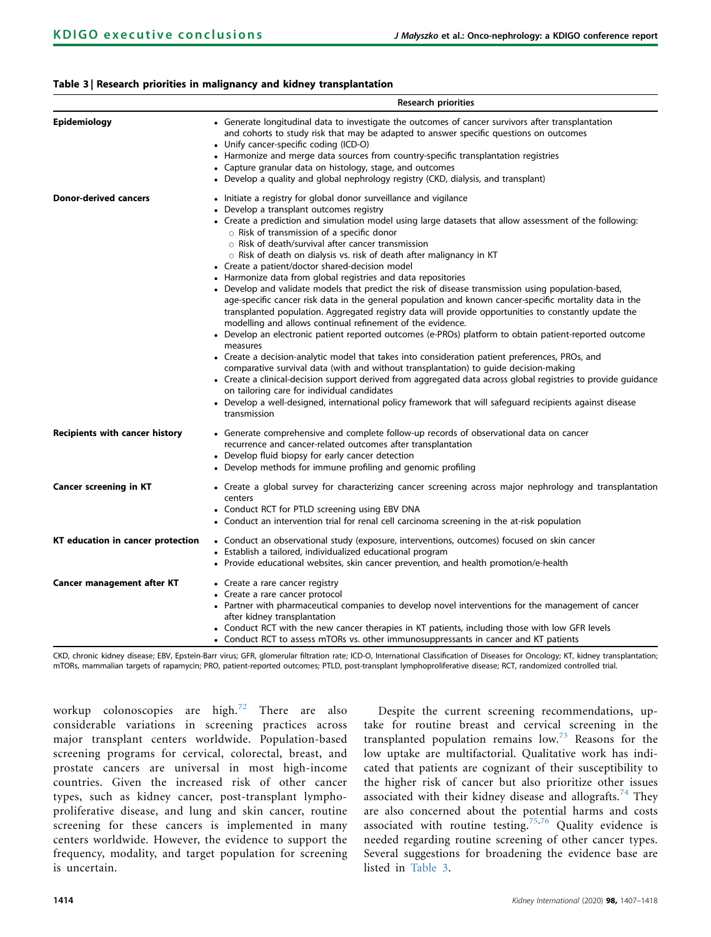# <span id="page-7-0"></span>Table 3 | Research priorities in malignancy and kidney transplantation

|                                       | <b>Research priorities</b>                                                                                                                                                                                                                                                                                                                                                                                                                                                                                                                                                                                                                                                                                                                                                                                                                                                                                                                                                                                                                                                                                                                                                                                                                                                                                                                                                                                                                                                                                                                   |  |  |  |  |
|---------------------------------------|----------------------------------------------------------------------------------------------------------------------------------------------------------------------------------------------------------------------------------------------------------------------------------------------------------------------------------------------------------------------------------------------------------------------------------------------------------------------------------------------------------------------------------------------------------------------------------------------------------------------------------------------------------------------------------------------------------------------------------------------------------------------------------------------------------------------------------------------------------------------------------------------------------------------------------------------------------------------------------------------------------------------------------------------------------------------------------------------------------------------------------------------------------------------------------------------------------------------------------------------------------------------------------------------------------------------------------------------------------------------------------------------------------------------------------------------------------------------------------------------------------------------------------------------|--|--|--|--|
| <b>Epidemiology</b>                   | • Generate longitudinal data to investigate the outcomes of cancer survivors after transplantation<br>and cohorts to study risk that may be adapted to answer specific questions on outcomes<br>• Unify cancer-specific coding (ICD-O)<br>• Harmonize and merge data sources from country-specific transplantation registries<br>• Capture granular data on histology, stage, and outcomes<br>• Develop a quality and global nephrology registry (CKD, dialysis, and transplant)                                                                                                                                                                                                                                                                                                                                                                                                                                                                                                                                                                                                                                                                                                                                                                                                                                                                                                                                                                                                                                                             |  |  |  |  |
| <b>Donor-derived cancers</b>          | • Initiate a registry for global donor surveillance and vigilance<br>• Develop a transplant outcomes registry<br>• Create a prediction and simulation model using large datasets that allow assessment of the following:<br>$\circ$ Risk of transmission of a specific donor<br>$\circ$ Risk of death/survival after cancer transmission<br>o Risk of death on dialysis vs. risk of death after malignancy in KT<br>• Create a patient/doctor shared-decision model<br>• Harmonize data from global registries and data repositories<br>• Develop and validate models that predict the risk of disease transmission using population-based,<br>age-specific cancer risk data in the general population and known cancer-specific mortality data in the<br>transplanted population. Aggregated registry data will provide opportunities to constantly update the<br>modelling and allows continual refinement of the evidence.<br>• Develop an electronic patient reported outcomes (e-PROs) platform to obtain patient-reported outcome<br>measures<br>• Create a decision-analytic model that takes into consideration patient preferences, PROs, and<br>comparative survival data (with and without transplantation) to quide decision-making<br>• Create a clinical-decision support derived from aggregated data across global registries to provide guidance<br>on tailoring care for individual candidates<br>• Develop a well-designed, international policy framework that will safeguard recipients against disease<br>transmission |  |  |  |  |
| <b>Recipients with cancer history</b> | • Generate comprehensive and complete follow-up records of observational data on cancer<br>recurrence and cancer-related outcomes after transplantation<br>• Develop fluid biopsy for early cancer detection<br>• Develop methods for immune profiling and genomic profiling                                                                                                                                                                                                                                                                                                                                                                                                                                                                                                                                                                                                                                                                                                                                                                                                                                                                                                                                                                                                                                                                                                                                                                                                                                                                 |  |  |  |  |
| <b>Cancer screening in KT</b>         | • Create a global survey for characterizing cancer screening across major nephrology and transplantation<br>centers<br>• Conduct RCT for PTLD screening using EBV DNA<br>• Conduct an intervention trial for renal cell carcinoma screening in the at-risk population                                                                                                                                                                                                                                                                                                                                                                                                                                                                                                                                                                                                                                                                                                                                                                                                                                                                                                                                                                                                                                                                                                                                                                                                                                                                        |  |  |  |  |
| KT education in cancer protection     | • Conduct an observational study (exposure, interventions, outcomes) focused on skin cancer<br>• Establish a tailored, individualized educational program<br>• Provide educational websites, skin cancer prevention, and health promotion/e-health                                                                                                                                                                                                                                                                                                                                                                                                                                                                                                                                                                                                                                                                                                                                                                                                                                                                                                                                                                                                                                                                                                                                                                                                                                                                                           |  |  |  |  |
| Cancer management after KT            | • Create a rare cancer registry<br>• Create a rare cancer protocol<br>• Partner with pharmaceutical companies to develop novel interventions for the management of cancer<br>after kidney transplantation<br>• Conduct RCT with the new cancer therapies in KT patients, including those with low GFR levels<br>• Conduct RCT to assess mTORs vs. other immunosuppressants in cancer and KT patients                                                                                                                                                                                                                                                                                                                                                                                                                                                                                                                                                                                                                                                                                                                                                                                                                                                                                                                                                                                                                                                                                                                                         |  |  |  |  |

CKD, chronic kidney disease; EBV, Epstein-Barr virus; GFR, glomerular filtration rate; ICD-O, International Classification of Diseases for Oncology; KT, kidney transplantation; mTORs, mammalian targets of rapamycin; PRO, patient-reported outcomes; PTLD, post-transplant lymphoproliferative disease; RCT, randomized controlled trial.

workup colonoscopies are high.<sup>[72](#page-11-11)</sup> There are also considerable variations in screening practices across major transplant centers worldwide. Population-based screening programs for cervical, colorectal, breast, and prostate cancers are universal in most high-income countries. Given the increased risk of other cancer types, such as kidney cancer, post-transplant lymphoproliferative disease, and lung and skin cancer, routine screening for these cancers is implemented in many centers worldwide. However, the evidence to support the frequency, modality, and target population for screening is uncertain.

Despite the current screening recommendations, uptake for routine breast and cervical screening in the transplanted population remains  $low.^{73}$  $low.^{73}$  $low.^{73}$  Reasons for the low uptake are multifactorial. Qualitative work has indicated that patients are cognizant of their susceptibility to the higher risk of cancer but also prioritize other issues associated with their kidney disease and allografts.<sup>[74](#page-11-13)</sup> They are also concerned about the potential harms and costs associated with routine testing.<sup>[75,](#page-11-14)[76](#page-11-15)</sup> Quality evidence is needed regarding routine screening of other cancer types. Several suggestions for broadening the evidence base are listed in [Table 3](#page-7-0).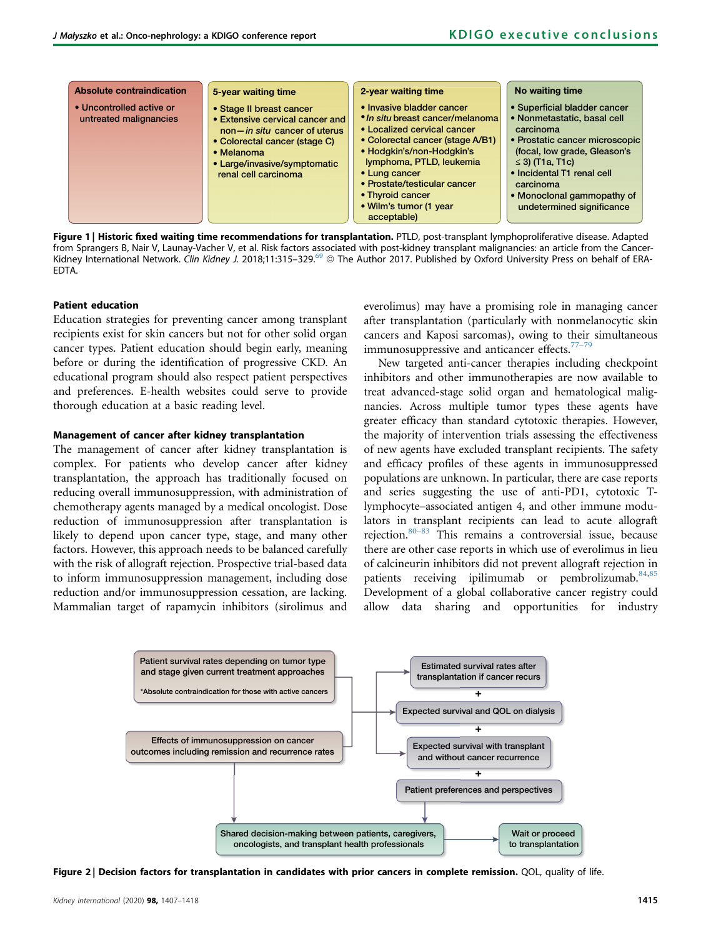<span id="page-8-0"></span>

Figure 1 | Historic fixed waiting time recommendations for transplantation. PTLD, post-transplant lymphoproliferative disease. Adapted from Sprangers B, Nair V, Launay-Vacher V, et al. Risk factors associated with post-kidney transplant malignancies: an article from the Cancer-Kidney International Network. Clin Kidney J. 2018;11:315-329.<sup>[69](#page-11-8)</sup> © The Author 2017. Published by Oxford University Press on behalf of ERA-EDTA.

#### Patient education

Education strategies for preventing cancer among transplant recipients exist for skin cancers but not for other solid organ cancer types. Patient education should begin early, meaning before or during the identification of progressive CKD. An educational program should also respect patient perspectives and preferences. E-health websites could serve to provide thorough education at a basic reading level.

#### Management of cancer after kidney transplantation

The management of cancer after kidney transplantation is complex. For patients who develop cancer after kidney transplantation, the approach has traditionally focused on reducing overall immunosuppression, with administration of chemotherapy agents managed by a medical oncologist. Dose reduction of immunosuppression after transplantation is likely to depend upon cancer type, stage, and many other factors. However, this approach needs to be balanced carefully with the risk of allograft rejection. Prospective trial-based data to inform immunosuppression management, including dose reduction and/or immunosuppression cessation, are lacking. Mammalian target of rapamycin inhibitors (sirolimus and everolimus) may have a promising role in managing cancer after transplantation (particularly with nonmelanocytic skin cancers and Kaposi sarcomas), owing to their simultaneous immunosuppressive and anticancer effects. $77-7$ 

New targeted anti-cancer therapies including checkpoint inhibitors and other immunotherapies are now available to treat advanced-stage solid organ and hematological malignancies. Across multiple tumor types these agents have greater efficacy than standard cytotoxic therapies. However, the majority of intervention trials assessing the effectiveness of new agents have excluded transplant recipients. The safety and efficacy profiles of these agents in immunosuppressed populations are unknown. In particular, there are case reports and series suggesting the use of anti-PD1, cytotoxic Tlymphocyte–associated antigen 4, and other immune modulators in transplant recipients can lead to acute allograft rejection[.80](#page-11-17)–<sup>83</sup> This remains a controversial issue, because there are other case reports in which use of everolimus in lieu of calcineurin inhibitors did not prevent allograft rejection in patients receiving ipilimumab or pembrolizumab.<sup>[84,](#page-11-18)[85](#page-11-19)</sup> Development of a global collaborative cancer registry could allow data sharing and opportunities for industry

<span id="page-8-1"></span>

Figure 2 | Decision factors for transplantation in candidates with prior cancers in complete remission. QOL, quality of life.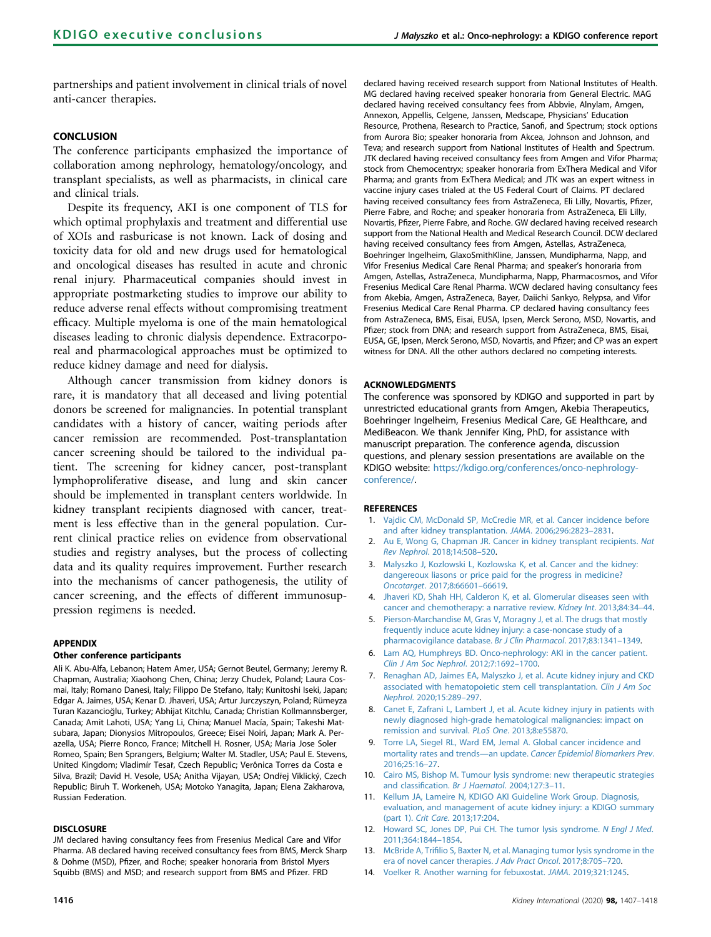partnerships and patient involvement in clinical trials of novel anti-cancer therapies.

## **CONCLUSION**

The conference participants emphasized the importance of collaboration among nephrology, hematology/oncology, and transplant specialists, as well as pharmacists, in clinical care and clinical trials.

Despite its frequency, AKI is one component of TLS for which optimal prophylaxis and treatment and differential use of XOIs and rasburicase is not known. Lack of dosing and toxicity data for old and new drugs used for hematological and oncological diseases has resulted in acute and chronic renal injury. Pharmaceutical companies should invest in appropriate postmarketing studies to improve our ability to reduce adverse renal effects without compromising treatment efficacy. Multiple myeloma is one of the main hematological diseases leading to chronic dialysis dependence. Extracorporeal and pharmacological approaches must be optimized to reduce kidney damage and need for dialysis.

Although cancer transmission from kidney donors is rare, it is mandatory that all deceased and living potential donors be screened for malignancies. In potential transplant candidates with a history of cancer, waiting periods after cancer remission are recommended. Post-transplantation cancer screening should be tailored to the individual patient. The screening for kidney cancer, post-transplant lymphoproliferative disease, and lung and skin cancer should be implemented in transplant centers worldwide. In kidney transplant recipients diagnosed with cancer, treatment is less effective than in the general population. Current clinical practice relies on evidence from observational studies and registry analyses, but the process of collecting data and its quality requires improvement. Further research into the mechanisms of cancer pathogenesis, the utility of cancer screening, and the effects of different immunosuppression regimens is needed.

#### <span id="page-9-3"></span>APPENDIX

#### Other conference participants

Ali K. Abu-Alfa, Lebanon; Hatem Amer, USA; Gernot Beutel, Germany; Jeremy R. Chapman, Australia; Xiaohong Chen, China; Jerzy Chudek, Poland; Laura Cosmai, Italy; Romano Danesi, Italy; Filippo De Stefano, Italy; Kunitoshi Iseki, Japan; Edgar A. Jaimes, USA; Kenar D. Jhaveri, USA; Artur Jurczyszyn, Poland; Rümeyza Turan Kazancioglu, Turkey; Abhijat Kitchlu, Canada; Christian Kollmannsberger, Canada; Amit Lahoti, USA; Yang Li, China; Manuel Macía, Spain; Takeshi Matsubara, Japan; Dionysios Mitropoulos, Greece; Eisei Noiri, Japan; Mark A. Perazella, USA; Pierre Ronco, France; Mitchell H. Rosner, USA; Maria Jose Soler Romeo, Spain; Ben Sprangers, Belgium; Walter M. Stadler, USA; Paul E. Stevens, United Kingdom; Vladimír Tesar, Czech Republic; Verônica Torres da Costa e Silva, Brazil; David H. Vesole, USA; Anitha Vijayan, USA; Ondrej Viklický, Czech Republic; Biruh T. Workeneh, USA; Motoko Yanagita, Japan; Elena Zakharova, Russian Federation.

#### DISCLOSURE

JM declared having consultancy fees from Fresenius Medical Care and Vifor Pharma. AB declared having received consultancy fees from BMS, Merck Sharp & Dohme (MSD), Pfizer, and Roche; speaker honoraria from Bristol Myers Squibb (BMS) and MSD; and research support from BMS and Pfizer. FRD

declared having received research support from National Institutes of Health. MG declared having received speaker honoraria from General Electric. MAG declared having received consultancy fees from Abbvie, Alnylam, Amgen, Annexon, Appellis, Celgene, Janssen, Medscape, Physicians' Education Resource, Prothena, Research to Practice, Sanofi, and Spectrum; stock options from Aurora Bio; speaker honoraria from Akcea, Johnson and Johnson, and Teva; and research support from National Institutes of Health and Spectrum. JTK declared having received consultancy fees from Amgen and Vifor Pharma; stock from Chemocentryx; speaker honoraria from ExThera Medical and Vifor Pharma; and grants from ExThera Medical; and JTK was an expert witness in vaccine injury cases trialed at the US Federal Court of Claims. PT declared having received consultancy fees from AstraZeneca, Eli Lilly, Novartis, Pfizer, Pierre Fabre, and Roche; and speaker honoraria from AstraZeneca, Eli Lilly, Novartis, Pfizer, Pierre Fabre, and Roche. GW declared having received research support from the National Health and Medical Research Council. DCW declared having received consultancy fees from Amgen, Astellas, AstraZeneca, Boehringer Ingelheim, GlaxoSmithKline, Janssen, Mundipharma, Napp, and Vifor Fresenius Medical Care Renal Pharma; and speaker's honoraria from Amgen, Astellas, AstraZeneca, Mundipharma, Napp, Pharmacosmos, and Vifor Fresenius Medical Care Renal Pharma. WCW declared having consultancy fees from Akebia, Amgen, AstraZeneca, Bayer, Daiichi Sankyo, Relypsa, and Vifor Fresenius Medical Care Renal Pharma. CP declared having consultancy fees from AstraZeneca, BMS, Eisai, EUSA, Ipsen, Merck Serono, MSD, Novartis, and Pfizer; stock from DNA; and research support from AstraZeneca, BMS, Eisai, EUSA, GE, Ipsen, Merck Serono, MSD, Novartis, and Pfizer; and CP was an expert witness for DNA. All the other authors declared no competing interests.

#### ACKNOWLEDGMENTS

The conference was sponsored by KDIGO and supported in part by unrestricted educational grants from Amgen, Akebia Therapeutics, Boehringer Ingelheim, Fresenius Medical Care, GE Healthcare, and MediBeacon. We thank Jennifer King, PhD, for assistance with manuscript preparation. The conference agenda, discussion questions, and plenary session presentations are available on the KDIGO website: [https://kdigo.org/conferences/onco-nephrology](https://kdigo.org/conferences/onco-nephrology-conference/)[conference/](https://kdigo.org/conferences/onco-nephrology-conference/).

#### <span id="page-9-0"></span>**REFERENCES**

- 1. [Vajdic CM, McDonald SP, McCredie MR, et al. Cancer incidence before](http://refhub.elsevier.com/S0085-2538(20)30901-7/sref1) [and after kidney transplantation.](http://refhub.elsevier.com/S0085-2538(20)30901-7/sref1) JAMA. 2006;296:2823–2831.
- <span id="page-9-1"></span>2. [Au E, Wong G, Chapman JR. Cancer in kidney transplant recipients.](http://refhub.elsevier.com/S0085-2538(20)30901-7/sref2) Nat Rev Nephrol[. 2018;14:508](http://refhub.elsevier.com/S0085-2538(20)30901-7/sref2)–520.
- <span id="page-9-2"></span>3. [Malyszko J, Kozlowski L, Kozlowska K, et al. Cancer and the kidney:](http://refhub.elsevier.com/S0085-2538(20)30901-7/sref4) [dangereoux liasons or price paid for the progress in medicine?](http://refhub.elsevier.com/S0085-2538(20)30901-7/sref4) Oncotarget[. 2017;8:66601](http://refhub.elsevier.com/S0085-2538(20)30901-7/sref4)–66619.
- <span id="page-9-4"></span>4. [Jhaveri KD, Shah HH, Calderon K, et al. Glomerular diseases seen with](http://refhub.elsevier.com/S0085-2538(20)30901-7/sref5) [cancer and chemotherapy: a narrative review.](http://refhub.elsevier.com/S0085-2538(20)30901-7/sref5) Kidney Int. 2013;84:34–44.
- 5. [Pierson-Marchandise M, Gras V, Moragny J, et al. The drugs that mostly](http://refhub.elsevier.com/S0085-2538(20)30901-7/sref6) [frequently induce acute kidney injury: a case-noncase study of a](http://refhub.elsevier.com/S0085-2538(20)30901-7/sref6) [pharmacovigilance database.](http://refhub.elsevier.com/S0085-2538(20)30901-7/sref6) Br J Clin Pharmacol. 2017;83:1341–1349.
- 6. [Lam AQ, Humphreys BD. Onco-nephrology: AKI in the cancer patient.](http://refhub.elsevier.com/S0085-2538(20)30901-7/sref7) [Clin J Am Soc Nephrol](http://refhub.elsevier.com/S0085-2538(20)30901-7/sref7). 2012;7:1692–1700.
- <span id="page-9-5"></span>7. [Renaghan AD, Jaimes EA, Malyszko J, et al. Acute kidney injury and CKD](http://refhub.elsevier.com/S0085-2538(20)30901-7/sref8) [associated with hematopoietic stem cell transplantation.](http://refhub.elsevier.com/S0085-2538(20)30901-7/sref8) Clin J Am Soc Nephrol[. 2020;15:289](http://refhub.elsevier.com/S0085-2538(20)30901-7/sref8)–297.
- <span id="page-9-6"></span>8. [Canet E, Zafrani L, Lambert J, et al. Acute kidney injury in patients with](http://refhub.elsevier.com/S0085-2538(20)30901-7/sref9) [newly diagnosed high-grade hematological malignancies: impact on](http://refhub.elsevier.com/S0085-2538(20)30901-7/sref9) [remission and survival.](http://refhub.elsevier.com/S0085-2538(20)30901-7/sref9) PLoS One. 2013;8:e55870.
- <span id="page-9-7"></span>9. [Torre LA, Siegel RL, Ward EM, Jemal A. Global cancer incidence and](http://refhub.elsevier.com/S0085-2538(20)30901-7/sref10) mortality rates and trends—an update. [Cancer Epidemiol Biomarkers Prev](http://refhub.elsevier.com/S0085-2538(20)30901-7/sref10). [2016;25:16](http://refhub.elsevier.com/S0085-2538(20)30901-7/sref10)–27.
- <span id="page-9-9"></span>10. [Cairo MS, Bishop M. Tumour lysis syndrome: new therapeutic strategies](http://refhub.elsevier.com/S0085-2538(20)30901-7/sref11) and classification. [Br J Haematol](http://refhub.elsevier.com/S0085-2538(20)30901-7/sref11). 2004;127:3-11.
- <span id="page-9-10"></span>11. [Kellum JA, Lameire N, KDIGO AKI Guideline Work Group. Diagnosis,](http://refhub.elsevier.com/S0085-2538(20)30901-7/sref12) [evaluation, and management of acute kidney injury: a KDIGO summary](http://refhub.elsevier.com/S0085-2538(20)30901-7/sref12) (part 1). Crit Care[. 2013;17:204](http://refhub.elsevier.com/S0085-2538(20)30901-7/sref12).
- <span id="page-9-11"></span>12. [Howard SC, Jones DP, Pui CH. The tumor lysis syndrome.](http://refhub.elsevier.com/S0085-2538(20)30901-7/sref13) N Engl J Med. [2011;364:1844](http://refhub.elsevier.com/S0085-2538(20)30901-7/sref13)–1854.
- <span id="page-9-12"></span>13. McBride A, Trifi[lio S, Baxter N, et al. Managing tumor lysis syndrome in the](http://refhub.elsevier.com/S0085-2538(20)30901-7/sref14) [era of novel cancer therapies.](http://refhub.elsevier.com/S0085-2538(20)30901-7/sref14) J Adv Pract Oncol. 2017;8:705–720.
- <span id="page-9-8"></span>14. [Voelker R. Another warning for febuxostat.](http://refhub.elsevier.com/S0085-2538(20)30901-7/sref15) JAMA. 2019;321:1245.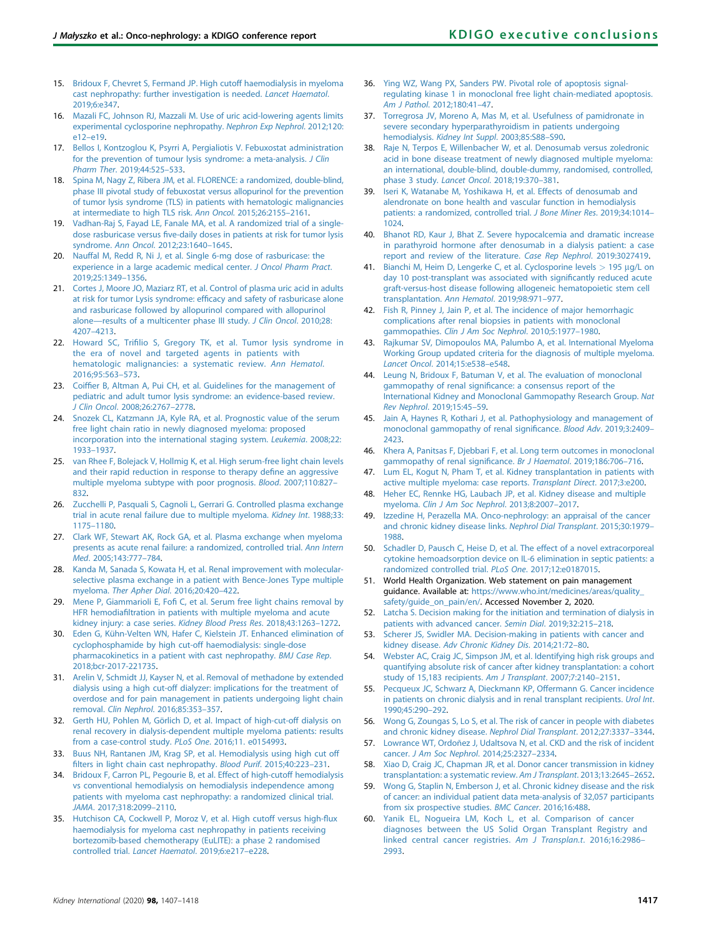- <span id="page-10-0"></span>15. [Bridoux F, Chevret S, Fermand JP. High cutoff haemodialysis in myeloma](http://refhub.elsevier.com/S0085-2538(20)30901-7/sref16) [cast nephropathy: further investigation is needed.](http://refhub.elsevier.com/S0085-2538(20)30901-7/sref16) Lancet Haematol. [2019;6:e347](http://refhub.elsevier.com/S0085-2538(20)30901-7/sref16).
- <span id="page-10-1"></span>16. [Mazali FC, Johnson RJ, Mazzali M. Use of uric acid-lowering agents limits](http://refhub.elsevier.com/S0085-2538(20)30901-7/sref17) [experimental cyclosporine nephropathy.](http://refhub.elsevier.com/S0085-2538(20)30901-7/sref17) Nephron Exp Nephrol. 2012;120: [e12](http://refhub.elsevier.com/S0085-2538(20)30901-7/sref17)–e19.
- <span id="page-10-2"></span>17. [Bellos I, Kontzoglou K, Psyrri A, Pergialiotis V. Febuxostat administration](http://refhub.elsevier.com/S0085-2538(20)30901-7/sref18) [for the prevention of tumour lysis syndrome: a meta-analysis.](http://refhub.elsevier.com/S0085-2538(20)30901-7/sref18) J Clin Pharm Ther[. 2019;44:525](http://refhub.elsevier.com/S0085-2538(20)30901-7/sref18)–533.
- <span id="page-10-3"></span>18. [Spina M, Nagy Z, Ribera JM, et al. FLORENCE: a randomized, double-blind,](http://refhub.elsevier.com/S0085-2538(20)30901-7/sref19) [phase III pivotal study of febuxostat versus allopurinol for the prevention](http://refhub.elsevier.com/S0085-2538(20)30901-7/sref19) [of tumor lysis syndrome \(TLS\) in patients with hematologic malignancies](http://refhub.elsevier.com/S0085-2538(20)30901-7/sref19) [at intermediate to high TLS risk.](http://refhub.elsevier.com/S0085-2538(20)30901-7/sref19) Ann Oncol. 2015;26:2155–2161.
- <span id="page-10-4"></span>19. [Vadhan-Raj S, Fayad LE, Fanale MA, et al. A randomized trial of a single](http://refhub.elsevier.com/S0085-2538(20)30901-7/sref20)dose rasburicase versus fi[ve-daily doses in patients at risk for tumor lysis](http://refhub.elsevier.com/S0085-2538(20)30901-7/sref20) syndrome. Ann Oncol[. 2012;23:1640](http://refhub.elsevier.com/S0085-2538(20)30901-7/sref20)–1645.
- <span id="page-10-5"></span>[Nauffal M, Redd R, Ni J, et al. Single 6-mg dose of rasburicase: the](http://refhub.elsevier.com/S0085-2538(20)30901-7/sref21) [experience in a large academic medical center.](http://refhub.elsevier.com/S0085-2538(20)30901-7/sref21) J Oncol Pharm Pract. [2019;25:1349](http://refhub.elsevier.com/S0085-2538(20)30901-7/sref21)–1356.
- <span id="page-10-6"></span>21. [Cortes J, Moore JO, Maziarz RT, et al. Control of plasma uric acid in adults](http://refhub.elsevier.com/S0085-2538(20)30901-7/sref22) at risk for tumor Lysis syndrome: effi[cacy and safety of rasburicase alone](http://refhub.elsevier.com/S0085-2538(20)30901-7/sref22) [and rasburicase followed by allopurinol compared with allopurinol](http://refhub.elsevier.com/S0085-2538(20)30901-7/sref22) alone-[results of a multicenter phase III study.](http://refhub.elsevier.com/S0085-2538(20)30901-7/sref22) J Clin Oncol. 2010;28: 4207–[4213](http://refhub.elsevier.com/S0085-2538(20)30901-7/sref22).
- <span id="page-10-7"></span>22. Howard SC, Trifi[lio S, Gregory TK, et al. Tumor lysis syndrome in](http://refhub.elsevier.com/S0085-2538(20)30901-7/sref23) [the era of novel and targeted agents in patients with](http://refhub.elsevier.com/S0085-2538(20)30901-7/sref23) [hematologic malignancies: a systematic review.](http://refhub.elsevier.com/S0085-2538(20)30901-7/sref23) Ann Hematol. [2016;95:563](http://refhub.elsevier.com/S0085-2538(20)30901-7/sref23)–573.
- <span id="page-10-8"></span>23. Coiffi[er B, Altman A, Pui CH, et al. Guidelines for the management of](http://refhub.elsevier.com/S0085-2538(20)30901-7/sref24) [pediatric and adult tumor lysis syndrome: an evidence-based review.](http://refhub.elsevier.com/S0085-2538(20)30901-7/sref24) J Clin Oncol[. 2008;26:2767](http://refhub.elsevier.com/S0085-2538(20)30901-7/sref24)–2778.
- <span id="page-10-9"></span>24. [Snozek CL, Katzmann JA, Kyle RA, et al. Prognostic value of the serum](http://refhub.elsevier.com/S0085-2538(20)30901-7/sref25) [free light chain ratio in newly diagnosed myeloma: proposed](http://refhub.elsevier.com/S0085-2538(20)30901-7/sref25) [incorporation into the international staging system.](http://refhub.elsevier.com/S0085-2538(20)30901-7/sref25) Leukemia. 2008;22: 1933–[1937](http://refhub.elsevier.com/S0085-2538(20)30901-7/sref25).
- <span id="page-10-10"></span>25. [van Rhee F, Bolejack V, Hollmig K, et al. High serum-free light chain levels](http://refhub.elsevier.com/S0085-2538(20)30901-7/sref26) [and their rapid reduction in response to therapy de](http://refhub.elsevier.com/S0085-2538(20)30901-7/sref26)fine an aggressive [multiple myeloma subtype with poor prognosis.](http://refhub.elsevier.com/S0085-2538(20)30901-7/sref26) Blood. 2007;110:827– [832](http://refhub.elsevier.com/S0085-2538(20)30901-7/sref26).
- <span id="page-10-11"></span>26. [Zucchelli P, Pasquali S, Cagnoli L, Gerrari G. Controlled plasma exchange](http://refhub.elsevier.com/S0085-2538(20)30901-7/sref27) [trial in acute renal failure due to multiple myeloma.](http://refhub.elsevier.com/S0085-2538(20)30901-7/sref27) Kidney Int. 1988;33: 1175–[1180](http://refhub.elsevier.com/S0085-2538(20)30901-7/sref27).
- <span id="page-10-12"></span>27. [Clark WF, Stewart AK, Rock GA, et al. Plasma exchange when myeloma](http://refhub.elsevier.com/S0085-2538(20)30901-7/sref28) [presents as acute renal failure: a randomized, controlled trial.](http://refhub.elsevier.com/S0085-2538(20)30901-7/sref28) Ann Intern Med[. 2005;143:777](http://refhub.elsevier.com/S0085-2538(20)30901-7/sref28)–784.
- <span id="page-10-13"></span>28. [Kanda M, Sanada S, Kowata H, et al. Renal improvement with molecular](http://refhub.elsevier.com/S0085-2538(20)30901-7/sref29)[selective plasma exchange in a patient with Bence-Jones Type multiple](http://refhub.elsevier.com/S0085-2538(20)30901-7/sref29) myeloma. [Ther Apher Dial](http://refhub.elsevier.com/S0085-2538(20)30901-7/sref29). 2016;20:420–422.
- <span id="page-10-14"></span>29. Mene P, Giammarioli E, Fofi [C, et al. Serum free light chains removal by](http://refhub.elsevier.com/S0085-2538(20)30901-7/sref30) HFR hemodiafi[ltration in patients with multiple myeloma and acute](http://refhub.elsevier.com/S0085-2538(20)30901-7/sref30) [kidney injury: a case series.](http://refhub.elsevier.com/S0085-2538(20)30901-7/sref30) Kidney Blood Press Res. 2018;43:1263–1272.
- <span id="page-10-15"></span>30. [Eden G, Kühn-Velten WN, Hafer C, Kielstein JT. Enhanced elimination of](http://refhub.elsevier.com/S0085-2538(20)30901-7/sref31) [cyclophosphamide by high cut-off haemodialysis: single-dose](http://refhub.elsevier.com/S0085-2538(20)30901-7/sref31) [pharmacokinetics in a patient with cast nephropathy.](http://refhub.elsevier.com/S0085-2538(20)30901-7/sref31) BMJ Case Rep. [2018;bcr-2017-221735](http://refhub.elsevier.com/S0085-2538(20)30901-7/sref31).
- <span id="page-10-16"></span>31. [Arelin V, Schmidt JJ, Kayser N, et al. Removal of methadone by extended](http://refhub.elsevier.com/S0085-2538(20)30901-7/sref32) [dialysis using a high cut-off dialyzer: implications for the treatment of](http://refhub.elsevier.com/S0085-2538(20)30901-7/sref32) [overdose and for pain management in patients undergoing light chain](http://refhub.elsevier.com/S0085-2538(20)30901-7/sref32) removal. Clin Nephrol[. 2016;85:353](http://refhub.elsevier.com/S0085-2538(20)30901-7/sref32)–357.
- <span id="page-10-17"></span>32. [Gerth HU, Pohlen M, Görlich D, et al. Impact of high-cut-off dialysis on](http://refhub.elsevier.com/S0085-2538(20)30901-7/sref33) [renal recovery in dialysis-dependent multiple myeloma patients: results](http://refhub.elsevier.com/S0085-2538(20)30901-7/sref33) [from a case-control study.](http://refhub.elsevier.com/S0085-2538(20)30901-7/sref33) PLoS One. 2016;11. e0154993.
- <span id="page-10-18"></span>33. [Buus NH, Rantanen JM, Krag SP, et al. Hemodialysis using high cut off](http://refhub.elsevier.com/S0085-2538(20)30901-7/sref34) fi[lters in light chain cast nephropathy.](http://refhub.elsevier.com/S0085-2538(20)30901-7/sref34) Blood Purif. 2015;40:223–231.
- <span id="page-10-19"></span>34. [Bridoux F, Carron PL, Pegourie B, et al. Effect of high-cutoff hemodialysis](http://refhub.elsevier.com/S0085-2538(20)30901-7/sref35) [vs conventional hemodialysis on hemodialysis independence among](http://refhub.elsevier.com/S0085-2538(20)30901-7/sref35) [patients with myeloma cast nephropathy: a randomized clinical trial.](http://refhub.elsevier.com/S0085-2538(20)30901-7/sref35) JAMA[. 2017;318:2099](http://refhub.elsevier.com/S0085-2538(20)30901-7/sref35)–2110.
- <span id="page-10-20"></span>35. [Hutchison CA, Cockwell P, Moroz V, et al. High cutoff versus high-](http://refhub.elsevier.com/S0085-2538(20)30901-7/sref36)flux [haemodialysis for myeloma cast nephropathy in patients receiving](http://refhub.elsevier.com/S0085-2538(20)30901-7/sref36) [bortezomib-based chemotherapy \(EuLITE\): a phase 2 randomised](http://refhub.elsevier.com/S0085-2538(20)30901-7/sref36) controlled trial. [Lancet Haematol](http://refhub.elsevier.com/S0085-2538(20)30901-7/sref36). 2019;6:e217–e228.
- <span id="page-10-21"></span>36. [Ying WZ, Wang PX, Sanders PW. Pivotal role of apoptosis signal](http://refhub.elsevier.com/S0085-2538(20)30901-7/sref37)[regulating kinase 1 in monoclonal free light chain-mediated apoptosis.](http://refhub.elsevier.com/S0085-2538(20)30901-7/sref37) Am J Pathol[. 2012;180:41](http://refhub.elsevier.com/S0085-2538(20)30901-7/sref37)–47.
- <span id="page-10-22"></span>37. Torregrosa [JV, Moreno A, Mas M, et al. Usefulness of pamidronate in](http://refhub.elsevier.com/S0085-2538(20)30901-7/sref38) [severe secondary hyperparathyroidism in patients undergoing](http://refhub.elsevier.com/S0085-2538(20)30901-7/sref38) hemodialysis. [Kidney Int Suppl](http://refhub.elsevier.com/S0085-2538(20)30901-7/sref38). 2003;85:S88–S90.
- <span id="page-10-23"></span>38. [Raje N, Terpos E, Willenbacher W, et al. Denosumab versus zoledronic](http://refhub.elsevier.com/S0085-2538(20)30901-7/sref39) [acid in bone disease treatment of newly diagnosed multiple myeloma:](http://refhub.elsevier.com/S0085-2538(20)30901-7/sref39) [an international, double-blind, double-dummy, randomised, controlled,](http://refhub.elsevier.com/S0085-2538(20)30901-7/sref39) [phase 3 study.](http://refhub.elsevier.com/S0085-2538(20)30901-7/sref39) Lancet Oncol. 2018;19:370–381.
- <span id="page-10-24"></span>39. [Iseri K, Watanabe M, Yoshikawa H, et al. Effects of denosumab and](http://refhub.elsevier.com/S0085-2538(20)30901-7/sref40) [alendronate on bone health and vascular function in hemodialysis](http://refhub.elsevier.com/S0085-2538(20)30901-7/sref40) [patients: a randomized, controlled trial.](http://refhub.elsevier.com/S0085-2538(20)30901-7/sref40) J Bone Miner Res. 2019;34:1014– [1024.](http://refhub.elsevier.com/S0085-2538(20)30901-7/sref40)
- <span id="page-10-25"></span>40. [Bhanot RD, Kaur J, Bhat Z. Severe hypocalcemia and dramatic increase](http://refhub.elsevier.com/S0085-2538(20)30901-7/sref41) [in parathyroid hormone after denosumab in a dialysis patient: a case](http://refhub.elsevier.com/S0085-2538(20)30901-7/sref41) [report and review of the literature.](http://refhub.elsevier.com/S0085-2538(20)30901-7/sref41) Case Rep Nephrol. 2019:3027419.
- <span id="page-10-26"></span>41. [Bianchi M, Heim D, Lengerke C, et al. Cyclosporine levels](http://refhub.elsevier.com/S0085-2538(20)30901-7/sref42)  $>$  195  $\mu$ [g/L on](http://refhub.elsevier.com/S0085-2538(20)30901-7/sref42) [day 10 post-transplant was associated with signi](http://refhub.elsevier.com/S0085-2538(20)30901-7/sref42)ficantly reduced acute [graft-versus-host disease following allogeneic hematopoietic stem cell](http://refhub.elsevier.com/S0085-2538(20)30901-7/sref42) [transplantation.](http://refhub.elsevier.com/S0085-2538(20)30901-7/sref42) Ann Hematol. 2019;98:971–977.
- <span id="page-10-27"></span>42. [Fish R, Pinney J, Jain P, et al. The incidence of major hemorrhagic](http://refhub.elsevier.com/S0085-2538(20)30901-7/sref43) [complications after renal biopsies in patients with monoclonal](http://refhub.elsevier.com/S0085-2538(20)30901-7/sref43) gammopathies. [Clin J Am Soc Nephrol](http://refhub.elsevier.com/S0085-2538(20)30901-7/sref43). 2010;5:1977–1980.
- <span id="page-10-28"></span>43. [Rajkumar SV, Dimopoulos MA, Palumbo A, et al. International Myeloma](http://refhub.elsevier.com/S0085-2538(20)30901-7/sref44) [Working Group updated criteria for the diagnosis of multiple myeloma.](http://refhub.elsevier.com/S0085-2538(20)30901-7/sref44) Lancet Oncol[. 2014;15:e538](http://refhub.elsevier.com/S0085-2538(20)30901-7/sref44)–e548.
- <span id="page-10-29"></span>44. [Leung N, Bridoux F, Batuman V, et al. The evaluation of monoclonal](http://refhub.elsevier.com/S0085-2538(20)30901-7/sref45) gammopathy of renal signifi[cance: a consensus report of the](http://refhub.elsevier.com/S0085-2538(20)30901-7/sref45) [International Kidney and Monoclonal Gammopathy Research Group.](http://refhub.elsevier.com/S0085-2538(20)30901-7/sref45) Nat Rev Nephrol[. 2019;15:45](http://refhub.elsevier.com/S0085-2538(20)30901-7/sref45)–59.
- <span id="page-10-30"></span>45. [Jain A, Haynes R, Kothari J, et al. Pathophysiology and management of](http://refhub.elsevier.com/S0085-2538(20)30901-7/sref46) [monoclonal gammopathy of renal signi](http://refhub.elsevier.com/S0085-2538(20)30901-7/sref46)ficance. Blood Adv. 2019;3:2409– [2423.](http://refhub.elsevier.com/S0085-2538(20)30901-7/sref46)
- <span id="page-10-31"></span>46. [Khera A, Panitsas F, Djebbari F, et al. Long term outcomes in monoclonal](http://refhub.elsevier.com/S0085-2538(20)30901-7/sref47) [gammopathy of renal signi](http://refhub.elsevier.com/S0085-2538(20)30901-7/sref47)ficance. Br J Haematol. 2019;186:706-716.
- <span id="page-10-32"></span>47. [Lum EL, Kogut N, Pham T, et al. Kidney transplantation in patients with](http://refhub.elsevier.com/S0085-2538(20)30901-7/sref48) [active multiple myeloma: case reports.](http://refhub.elsevier.com/S0085-2538(20)30901-7/sref48) Transplant Direct. 2017;3:e200.
- <span id="page-10-33"></span>48. [Heher EC, Rennke HG, Laubach JP, et al. Kidney disease and multiple](http://refhub.elsevier.com/S0085-2538(20)30901-7/sref49) myeloma. [Clin J Am Soc Nephrol](http://refhub.elsevier.com/S0085-2538(20)30901-7/sref49). 2013;8:2007–2017.
- <span id="page-10-34"></span>49. [Izzedine H, Perazella MA. Onco-nephrology: an appraisal of the cancer](http://refhub.elsevier.com/S0085-2538(20)30901-7/sref50) [and chronic kidney disease links.](http://refhub.elsevier.com/S0085-2538(20)30901-7/sref50) Nephrol Dial Transplant. 2015;30:1979– [1988.](http://refhub.elsevier.com/S0085-2538(20)30901-7/sref50)
- <span id="page-10-35"></span>50. [Schadler D, Pausch C, Heise D, et al. The effect of a novel extracorporeal](http://refhub.elsevier.com/S0085-2538(20)30901-7/sref51) [cytokine hemoadsorption device on IL-6 elimination in septic patients: a](http://refhub.elsevier.com/S0085-2538(20)30901-7/sref51) [randomized controlled trial.](http://refhub.elsevier.com/S0085-2538(20)30901-7/sref51) PLoS One. 2017;12:e0187015.
- <span id="page-10-36"></span>51. World Health Organization. Web statement on pain management guidance. Available at: [https://www.who.int/medicines/areas/quality\\_](https://www.who.int/medicines/areas/quality_safety/guide_on_pain/en/) safety/quide\_on\_pain/en/. Accessed November 2, 2020.
- <span id="page-10-37"></span>52. [Latcha S. Decision making for the initiation and termination of dialysis in](http://refhub.elsevier.com/S0085-2538(20)30901-7/sref53) [patients with advanced cancer.](http://refhub.elsevier.com/S0085-2538(20)30901-7/sref53) Semin Dial. 2019;32:215–218.
- <span id="page-10-38"></span>53. [Scherer JS, Swidler MA. Decision-making in patients with cancer and](http://refhub.elsevier.com/S0085-2538(20)30901-7/sref54) kidney disease. [Adv Chronic Kidney Dis](http://refhub.elsevier.com/S0085-2538(20)30901-7/sref54). 2014;21:72–80.
- <span id="page-10-39"></span>54. [Webster AC, Craig JC, Simpson JM, et al. Identifying high risk groups and](http://refhub.elsevier.com/S0085-2538(20)30901-7/sref55) [quantifying absolute risk of cancer after kidney transplantation: a cohort](http://refhub.elsevier.com/S0085-2538(20)30901-7/sref55) [study of 15,183 recipients.](http://refhub.elsevier.com/S0085-2538(20)30901-7/sref55) Am J Transplant. 2007;7:2140–2151.
- <span id="page-10-44"></span>55. [Pecqueux JC, Schwarz A, Dieckmann KP, Offermann G. Cancer incidence](http://refhub.elsevier.com/S0085-2538(20)30901-7/sref56) [in patients on chronic dialysis and in renal transplant recipients.](http://refhub.elsevier.com/S0085-2538(20)30901-7/sref56) Urol Int. [1990;45:290](http://refhub.elsevier.com/S0085-2538(20)30901-7/sref56)–292.
- <span id="page-10-45"></span>56. [Wong G, Zoungas S, Lo S, et al. The risk of cancer in people with diabetes](http://refhub.elsevier.com/S0085-2538(20)30901-7/sref57) [and chronic kidney disease.](http://refhub.elsevier.com/S0085-2538(20)30901-7/sref57) Nephrol Dial Transplant. 2012;27:3337–3344.
- <span id="page-10-40"></span>57. [Lowrance WT, Ordoñez J, Udaltsova N, et al. CKD and the risk of incident](http://refhub.elsevier.com/S0085-2538(20)30901-7/sref58) cancer. [J Am Soc Nephrol](http://refhub.elsevier.com/S0085-2538(20)30901-7/sref58). 2014;25:2327–2334.
- <span id="page-10-43"></span>58. [Xiao D, Craig JC, Chapman JR, et al. Donor cancer transmission in kidney](http://refhub.elsevier.com/S0085-2538(20)30901-7/sref59) [transplantation: a systematic review.](http://refhub.elsevier.com/S0085-2538(20)30901-7/sref59) Am J Transplant. 2013;13:2645–2652.
- <span id="page-10-41"></span>59. [Wong G, Staplin N, Emberson J, et al. Chronic kidney disease and the risk](http://refhub.elsevier.com/S0085-2538(20)30901-7/sref60) [of cancer: an individual patient data meta-analysis of 32,057 participants](http://refhub.elsevier.com/S0085-2538(20)30901-7/sref60) [from six prospective studies.](http://refhub.elsevier.com/S0085-2538(20)30901-7/sref60) BMC Cancer. 2016;16:488.
- <span id="page-10-42"></span>60. [Yanik EL, Nogueira LM, Koch L, et al. Comparison of cancer](http://refhub.elsevier.com/S0085-2538(20)30901-7/sref61) [diagnoses between the US Solid Organ Transplant Registry and](http://refhub.elsevier.com/S0085-2538(20)30901-7/sref61) [linked central cancer registries.](http://refhub.elsevier.com/S0085-2538(20)30901-7/sref61) Am J Transplan.t. 2016;16:2986– [2993](http://refhub.elsevier.com/S0085-2538(20)30901-7/sref61).